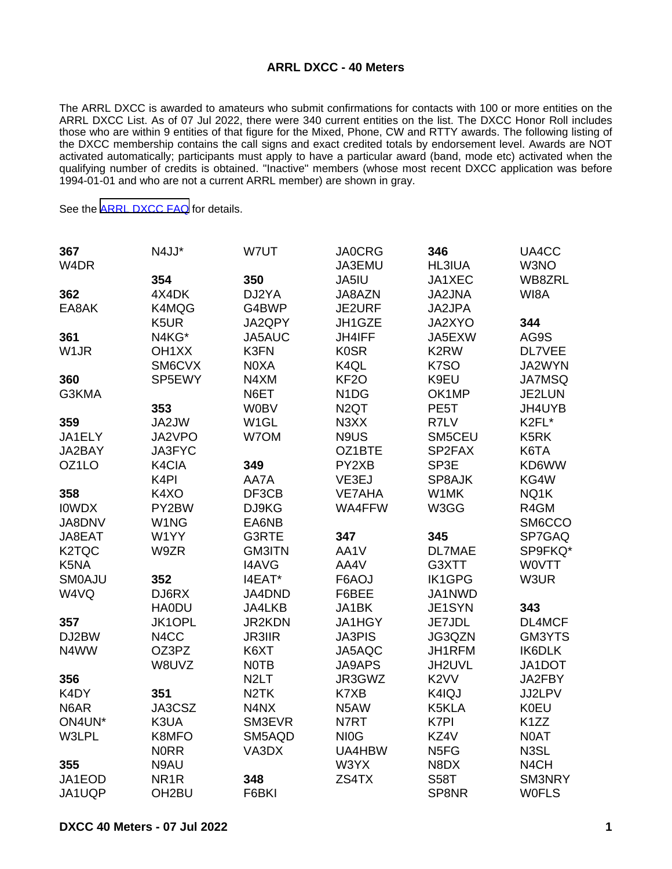## **ARRL DXCC - 40 Meters**

The ARRL DXCC is awarded to amateurs who submit confirmations for contacts with 100 or more entities on the ARRL DXCC List. As of 07 Jul 2022, there were 340 current entities on the list. The DXCC Honor Roll includes those who are within 9 entities of that figure for the Mixed, Phone, CW and RTTY awards. The following listing of the DXCC membership contains the call signs and exact credited totals by endorsement level. Awards are NOT activated automatically; participants must apply to have a particular award (band, mode etc) activated when the qualifying number of credits is obtained. "Inactive" members (whose most recent DXCC application was before 1994-01-01 and who are not a current ARRL member) are shown in gray.

See the [ARRL DXCC FAQ](http://www.arrl.org/dxcc-faq/) for details.

| 367                | N4JJ*              | W7UT              | <b>JA0CRG</b>                 | 346               | UA4CC             |
|--------------------|--------------------|-------------------|-------------------------------|-------------------|-------------------|
| W4DR               |                    |                   | JA3EMU                        | <b>HL3IUA</b>     | W3NO              |
|                    | 354                | 350               | JA5IU                         | JA1XEC            | WB8ZRL            |
| 362                | 4X4DK              | DJ2YA             | JA8AZN                        | JA2JNA            | WI8A              |
| EA8AK              | K4MQG              | G4BWP             | JE2URF                        | JA2JPA            |                   |
|                    | K5UR               | JA2QPY            | JH1GZE                        | JA2XYO            | 344               |
| 361                | N4KG*              | JA5AUC            | JH4IFF                        | JA5EXW            | AG9S              |
| W1JR               | OH <sub>1</sub> XX | K3FN              | <b>K0SR</b>                   | K <sub>2</sub> RW | DL7VEE            |
|                    | SM6CVX             | N0XA              | K4QL                          | K7SO              | JA2WYN            |
| 360                | SP5EWY             | N4XM              | KF <sub>2</sub> O             | K9EU              | <b>JA7MSQ</b>     |
| G3KMA              |                    | N6ET              | N <sub>1</sub> D <sub>G</sub> | OK1MP             | JE2LUN            |
|                    | 353                | <b>W0BV</b>       | N <sub>2</sub> QT             | PE <sub>5</sub> T | JH4UYB            |
| 359                | JA2JW              | W <sub>1</sub> GL | N3XX                          | R7LV              | K2FL*             |
| JA1ELY             | JA2VPO             | W7OM              | N9US                          | SM5CEU            | K5RK              |
| JA2BAY             | JA3FYC             |                   | OZ1BTE                        | SP2FAX            | K6TA              |
| OZ1LO              | K4CIA              | 349               | PY2XB                         | SP3E              | KD6WW             |
|                    | K <sub>4</sub> PI  | AA7A              | VE3EJ                         | SP8AJK            | KG4W              |
| 358                | K4XO               | DF3CB             | <b>VE7AHA</b>                 | W1MK              | NQ1K              |
| <b>IOWDX</b>       | PY2BW              | DJ9KG             | WA4FFW                        | W3GG              | R4GM              |
| JA8DNV             | W1NG               | EA6NB             |                               |                   | SM6CCO            |
| JA8EAT             | W1YY               | G3RTE             | 347                           | 345               | SP7GAQ            |
| K <sub>2</sub> TQC | W9ZR               | <b>GM3ITN</b>     | AA1V                          | DL7MAE            | SP9FKQ*           |
| K5NA               |                    | <b>I4AVG</b>      | AA4V                          | G3XTT             | <b>WOVTT</b>      |
| <b>SMOAJU</b>      | 352                | I4EAT*            | F6AOJ                         | <b>IK1GPG</b>     | W3UR              |
| W4VQ               | DJ6RX              | JA4DND            | F6BEE                         | JA1NWD            |                   |
|                    | <b>HA0DU</b>       | JA4LKB            | JA1BK                         | JE1SYN            | 343               |
| 357                | JK1OPL             | JR2KDN            | JA1HGY                        | JE7JDL            | DL4MCF            |
| DJ2BW              | N4CC               | <b>JR3IIR</b>     | <b>JA3PIS</b>                 | JG3QZN            | GM3YTS            |
| N4WW               | OZ3PZ              | K6XT              | JA5AQC                        | JH1RFM            | <b>IK6DLK</b>     |
|                    | W8UVZ              | <b>NOTB</b>       | <b>JA9APS</b>                 | JH2UVL            | JA1DOT            |
| 356                |                    | N <sub>2</sub> LT | JR3GWZ                        | K <sub>2</sub> VV | JA2FBY            |
| K4DY               | 351                | N <sub>2</sub> TK | K7XB                          | K4IQJ             | JJ2LPV            |
| N6AR               | JA3CSZ             | N4NX              | N5AW                          | K5KLA             | <b>K0EU</b>       |
| ON4UN*             | K3UA               | SM3EVR            | N7RT                          | K7PI              | K <sub>1</sub> ZZ |
| W3LPL              | K8MFO              | SM5AQD            | NI <sub>0</sub> G             | KZ4V              | N0AT              |
|                    | <b>NORR</b>        | VA3DX             | UA4HBW                        | N <sub>5FG</sub>  | N3SL              |
| 355                | N9AU               |                   | W3YX                          | N8DX              | N <sub>4</sub> CH |
| JA1EOD             | NR <sub>1</sub> R  | 348               | ZS4TX                         | <b>S58T</b>       | SM3NRY            |
| JA1UQP             | OH <sub>2</sub> BU | F6BKI             |                               | SP8NR             | <b>WOFLS</b>      |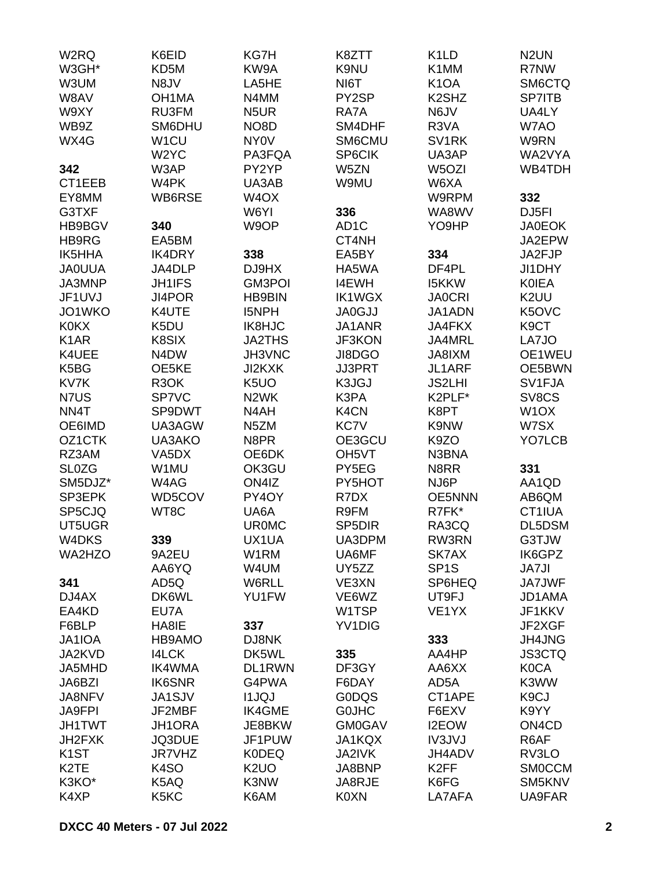| W2RQ                | K6EID                         | KG7H              | K8ZTT               | K <sub>1</sub> LD              | N <sub>2</sub> UN              |
|---------------------|-------------------------------|-------------------|---------------------|--------------------------------|--------------------------------|
| W3GH*               | KD5M                          | KW9A              | K9NU                | K1MM                           | R7NW                           |
| W3UM                | N8JV                          | LA5HE             | NI6T                | K <sub>1</sub> OA              | SM6CTQ                         |
| W8AV                | OH <sub>1</sub> MA            | N4MM              | PY2SP               | K <sub>2</sub> SH <sub>Z</sub> | SP7ITB                         |
| W9XY                | RU3FM                         | N <sub>5</sub> UR | RA7A                | N6JV                           | UA4LY                          |
| WB9Z                | SM6DHU                        | NO <sub>8</sub> D | SM4DHF              | R3VA                           | W7AO                           |
| WX4G                | W <sub>1</sub> CU             | NY <sub>0</sub> V | SM6CMU              | SV <sub>1</sub> RK             | W9RN                           |
|                     | W <sub>2</sub> YC             | PA3FQA            | SP6CIK              | UA3AP                          | WA2VYA                         |
|                     |                               |                   |                     |                                |                                |
| 342                 | W3AP                          | PY2YP             | W5ZN                | W <sub>5</sub> OZI             | WB4TDH                         |
| CT1EEB              | W4PK                          | UA3AB             | W9MU                | W6XA                           |                                |
| EY8MM               | WB6RSE                        | W <sub>4</sub> OX |                     | W9RPM                          | 332                            |
| G3TXF               |                               | W6YI              | 336                 | WA8WV                          | DJ5FI                          |
| HB9BGV              | 340                           | W9OP              | AD <sub>1</sub> C   | YO9HP                          | <b>JA0EOK</b>                  |
| HB9RG               | EA5BM                         |                   | CT4NH               |                                | JA2EPW                         |
| <b>IK5HHA</b>       | IK4DRY                        | 338               | EA5BY               | 334                            | JA2FJP                         |
| <b>JAOUUA</b>       | JA4DLP                        | DJ9HX             | HA5WA               | DF4PL                          | JI1DHY                         |
| JA3MNP              | <b>JH1IFS</b>                 | <b>GM3POI</b>     | <b>I4EWH</b>        | <b>I5KKW</b>                   | <b>KOIEA</b>                   |
| JF1UVJ              | JI4POR                        | <b>HB9BIN</b>     | <b>IK1WGX</b>       | <b>JA0CRI</b>                  | K2UU                           |
| JO1WKO              | K4UTE                         | <b>I5NPH</b>      | <b>JA0GJJ</b>       | JA1ADN                         | K5OVC                          |
| <b>K0KX</b>         | K5DU                          | <b>IK8HJC</b>     | JA1ANR              | <b>JA4FKX</b>                  | K <sub>9</sub> CT              |
| K <sub>1</sub> AR   | K8SIX                         | <b>JA2THS</b>     | JF3KON              | JA4MRL                         | LA7JO                          |
| K4UEE               | N <sub>4</sub> D <sub>W</sub> | JH3VNC            | JI8DGO              | JA8IXM                         | OE1WEU                         |
| K5BG                | OE5KE                         | JI2KXK            | <b>JJ3PRT</b>       | JL1ARF                         | OE5BWN                         |
| KV7K                | R <sub>3</sub> OK             | K <sub>5</sub> UO | K3JGJ               | <b>JS2LHI</b>                  | SV1FJA                         |
| N7US                | SP7VC                         | N <sub>2</sub> WK | K3PA                | K2PLF*                         | SV8CS                          |
| NN4T                | SP9DWT                        | N4AH              | K4CN                | K8PT                           | W <sub>1</sub> OX              |
| OE6IMD              | UA3AGW                        | N <sub>5</sub> ZM | <b>KC7V</b>         | K9NW                           | W7SX                           |
|                     |                               |                   |                     |                                |                                |
| OZ <sub>1</sub> CTK | UA3AKO                        | N8PR              | OE3GCU              | K9ZO                           | YO7LCB                         |
| RZ3AM               | VA <sub>5</sub> DX            | OE6DK             | OH <sub>5</sub> VT  | N3BNA                          |                                |
| <b>SL0ZG</b>        | W1MU                          | OK3GU             | PY5EG               | N8RR                           | 331                            |
| SM5DJZ*             | W4AG                          | ON4IZ             | PY5HOT              | NJ6P                           | AA1QD                          |
| SP3EPK              | WD5COV                        | PY4OY             | R7DX                | <b>OE5NNN</b>                  | AB6QM                          |
| SP5CJQ              | WT8C                          | UA6A              | R9FM                | R7FK*                          | CT1IUA                         |
| UT5UGR              |                               | <b>UR0MC</b>      | SP <sub>5</sub> DIR | RA3CQ                          | DL5DSM                         |
| W4DKS               | 339                           | UX1UA             | UA3DPM              | RW3RN                          | G3TJW                          |
| WA2HZO              | 9A2EU                         | W1RM              | UA6MF               | SK7AX                          | IK6GPZ                         |
|                     | AA6YQ                         | W4UM              | UY5ZZ               | SP <sub>1</sub> S              | <b>JA7JI</b>                   |
| 341                 | AD5Q                          | W6RLL             | VE3XN               | SP6HEQ                         | <b>JA7JWF</b>                  |
| DJ4AX               | DK6WL                         | YU1FW             | VE6WZ               | UT9FJ                          | JD1AMA                         |
| EA4KD               | EU7A                          |                   | W1TSP               | VE <sub>1</sub> YX             | JF1KKV                         |
| F6BLP               | HA8IE                         | 337               | YV1DIG              |                                | JF2XGF                         |
| JA1IOA              | HB9AMO                        | DJ8NK             |                     | 333                            | JH4JNG                         |
| JA2KVD              | <b>I4LCK</b>                  | DK5WL             | 335                 | AA4HP                          | <b>JS3CTQ</b>                  |
| JA5MHD              | <b>IK4WMA</b>                 | DL1RWN            | DF3GY               | AA6XX                          | <b>K0CA</b>                    |
| JA6BZI              | <b>IK6SNR</b>                 | G4PWA             | F6DAY               | AD5A                           | K3WW                           |
| <b>JA8NFV</b>       | JA1SJV                        | <b>I1JQJ</b>      | <b>GODQS</b>        | CT1APE                         | K <sub>9</sub> CJ              |
| <b>JA9FPI</b>       | JF2MBF                        | <b>IK4GME</b>     | <b>GOJHC</b>        | F6EXV                          | K9YY                           |
| <b>JH1TWT</b>       | <b>JH1ORA</b>                 | JE8BKW            | <b>GM0GAV</b>       | I2EOW                          | ON <sub>4</sub> C <sub>D</sub> |
|                     |                               |                   |                     |                                |                                |
| JH2FXK              | JQ3DUE                        | JF1PUW            | JA1KQX              | <b>IV3JVJ</b>                  | R6AF                           |
| K <sub>1</sub> ST   | <b>JR7VHZ</b>                 | <b>K0DEQ</b>      | <b>JA2IVK</b>       | JH4ADV                         | RV3LO                          |
| K <sub>2</sub> TE   | K <sub>4</sub> SO             | K <sub>2</sub> UO | JA8BNP              | K <sub>2</sub> FF              | <b>SMOCCM</b>                  |
| K3KO*               | K5AQ                          | K3NW              | JA8RJE              | K6FG                           | SM5KNV                         |
| K4XP                | K5KC                          | K6AM              | <b>K0XN</b>         | LA7AFA                         | <b>UA9FAR</b>                  |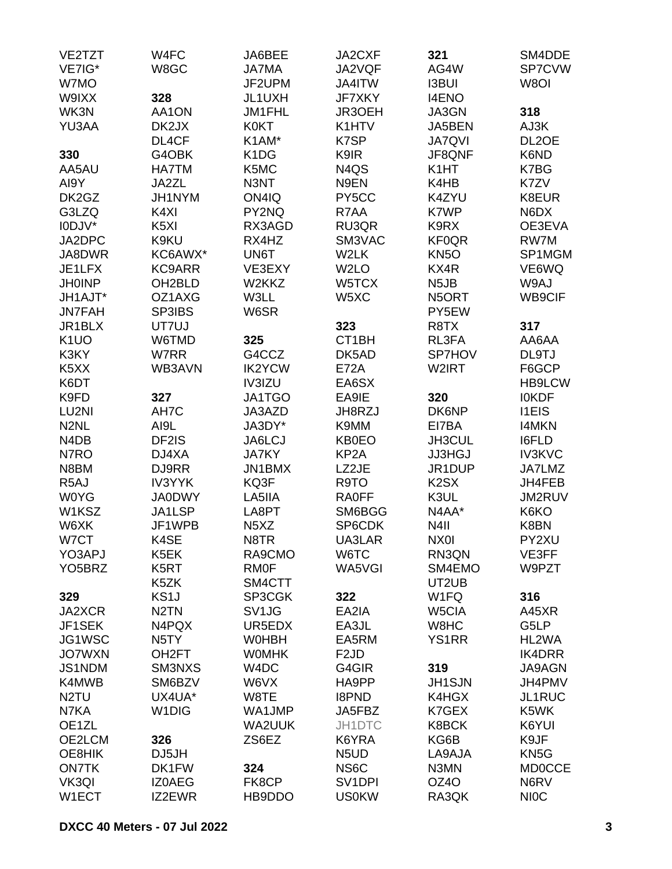| VE2TZT                        | W4FC               | JA6BEE                        | JA2CXF                        | 321               | SM4DDE             |
|-------------------------------|--------------------|-------------------------------|-------------------------------|-------------------|--------------------|
| VE7IG*                        | W8GC               | <b>JA7MA</b>                  | JA2VQF                        | AG4W              | SP7CVW             |
| W7MO                          |                    | JF2UPM                        | JA4ITW                        | <b>I3BUI</b>      | W8OI               |
| W9IXX                         | 328                | JL1UXH                        | JF7XKY                        | <b>I4ENO</b>      |                    |
| WK3N                          | AA1ON              | JM1FHL                        | JR3OEH                        | JA3GN             | 318                |
| YU3AA                         | DK2JX              | <b>K0KT</b>                   | K1HTV                         | JA5BEN            | AJ3K               |
|                               | DL4CF              | K1AM*                         | K7SP                          | <b>JA7QVI</b>     | DL <sub>2</sub> OE |
| 330                           | G4OBK              | K <sub>1</sub> D <sub>G</sub> | K9IR                          | JF8QNF            | K6ND               |
| AA5AU                         | <b>HA7TM</b>       | K5MC                          | N <sub>4</sub> Q <sub>S</sub> | K <sub>1</sub> HT | K7BG               |
| AI9Y                          | JA2ZL              | N3NT                          | N9EN                          | K4HB              | K7ZV               |
| DK2GZ                         | JH1NYM             | ON4IQ                         | PY5CC                         | K4ZYU             | K8EUR              |
| G3LZQ                         | K4XI               | PY2NQ                         | R7AA                          | K7WP              | N6DX               |
| I0DJV*                        | K <sub>5</sub> XI  | RX3AGD                        | RU3QR                         | K9RX              | OE3EVA             |
| JA2DPC                        | K9KU               | RX4HZ                         | SM3VAC                        | <b>KF0QR</b>      | RW7M               |
| JA8DWR                        | KC6AWX*            | UN6T                          | W2LK                          | KN <sub>5</sub> O | SP1MGM             |
| JE1LFX                        | <b>KC9ARR</b>      | VE3EXY                        | W <sub>2</sub> LO             | KX4R              | VE6WQ              |
| <b>JH0INP</b>                 | OH2BLD             | W2KKZ                         | W5TCX                         | N <sub>5</sub> JB | W9AJ               |
| JH1AJT*                       | OZ1AXG             | W3LL                          | W5XC                          | N5ORT             | WB9CIF             |
| <b>JN7FAH</b>                 | <b>SP3IBS</b>      | W6SR                          |                               | PY5EW             |                    |
| JR1BLX                        | UT7UJ              |                               | 323                           | R <sub>8</sub> TX | 317                |
| K <sub>1</sub> UO             | W6TMD              | 325                           | CT1BH                         | RL3FA             | AA6AA              |
| K3KY                          | W7RR               | G4CCZ                         | DK5AD                         | <b>SP7HOV</b>     | DL9TJ              |
| K <sub>5</sub> X <sub>X</sub> | WB3AVN             | <b>IK2YCW</b>                 | <b>E72A</b>                   | W2IRT             | F6GCP              |
| K6DT                          |                    | IV3IZU                        | EA6SX                         |                   | <b>HB9LCW</b>      |
| K9FD                          | 327                | JA1TGO                        | EA9IE                         | 320               | <b>IOKDF</b>       |
| LU2NI                         | AH7C               | JA3AZD                        | JH8RZJ                        | DK6NP             | <b>I1EIS</b>       |
| N <sub>2</sub> NL             | AI9L               | JA3DY*                        | K9MM                          | EI7BA             | <b>I4MKN</b>       |
| N <sub>4</sub> D <sub>B</sub> | DF2IS              | JA6LCJ                        | <b>KB0EO</b>                  | JH3CUL            | <b>I6FLD</b>       |
| N7RO                          | DJ4XA              | <b>JA7KY</b>                  | KP <sub>2</sub> A             | <b>JJ3HGJ</b>     | <b>IV3KVC</b>      |
| N8BM                          | DJ9RR              | JN1BMX                        | LZ2JE                         | JR1DUP            | JA7LMZ             |
| R <sub>5</sub> AJ             | <b>IV3YYK</b>      | KQ3F                          | R9TO                          | K <sub>2</sub> SX | JH4FEB             |
| <b>W0YG</b>                   | <b>JA0DWY</b>      | LA5IIA                        | <b>RA0FF</b>                  | K3UL              | JM2RUV             |
| W1KSZ                         | JA1LSP             | LA8PT                         | SM6BGG                        | N4AA*             | K6KO               |
| W6XK                          | JF1WPB             | N <sub>5</sub> X <sub>Z</sub> | SP6CDK                        | N <sub>4</sub> II | K8BN               |
| W7CT                          | K4SE               | N8TR                          | UA3LAR                        | NX01              | PY2XU              |
| YO3APJ                        | K5EK               | RA9CMO                        | W6TC                          | RN3QN             | VE3FF              |
| YO <sub>5</sub> BRZ           | K <sub>5</sub> RT  | <b>RMOF</b>                   | WA5VGI                        | SM4EMO            | W9PZT              |
|                               | K5ZK               | SM4CTT                        |                               | UT2UB             |                    |
| 329                           | KS <sub>1</sub> J  | SP3CGK                        | 322                           | W <sub>1</sub> FQ | 316                |
| JA2XCR                        | N <sub>2</sub> TN  | SV1JG                         | EA2IA                         | W5CIA             | A45XR              |
| JF1SEK                        | N4PQX              | UR5EDX                        | EA3JL                         | W8HC              | G5LP               |
| JG1WSC                        | N <sub>5</sub> TY  | <b>WOHBH</b>                  | EA5RM                         | <b>YS1RR</b>      | HL2WA              |
| <b>JO7WXN</b>                 | OH <sub>2</sub> FT | <b>WOMHK</b>                  | F <sub>2</sub> JD             |                   | <b>IK4DRR</b>      |
| JS1NDM                        | SM3NXS             | W <sub>4</sub> DC             | G4GIR                         | 319               | <b>JA9AGN</b>      |
| K4MWB                         | SM6BZV             | W6VX                          | HA9PP                         | <b>JH1SJN</b>     | JH4PMV             |
| N <sub>2</sub> TU             | UX4UA*             | W8TE                          | <b>I8PND</b>                  | K4HGX             | JL1RUC             |
| N7KA                          | W <sub>1</sub> DIG | WA1JMP                        | JA5FBZ                        | K7GEX             | K5WK               |
| OE1ZL                         |                    | WA2UUK                        | JH1DTC                        | K8BCK             | K6YUI              |
| OE2LCM                        | 326                | ZS6EZ                         | K6YRA                         | KG6B              | K9JF               |
| OE8HIK                        | DJ5JH              |                               | N <sub>5</sub> U <sub>D</sub> | LA9AJA            | KN <sub>5</sub> G  |
| <b>ON7TK</b>                  | DK1FW              | 324                           | NS <sub>6</sub> C             | N3MN              | <b>MD0CCE</b>      |
| VK3QI                         | <b>IZOAEG</b>      | FK8CP                         | SV <sub>1</sub> DPI           | OZ4O              | N6RV               |
| W1ECT                         | IZ2EWR             | HB9DDO                        | <b>US0KW</b>                  | RA3QK             | <b>NIOC</b>        |
|                               |                    |                               |                               |                   |                    |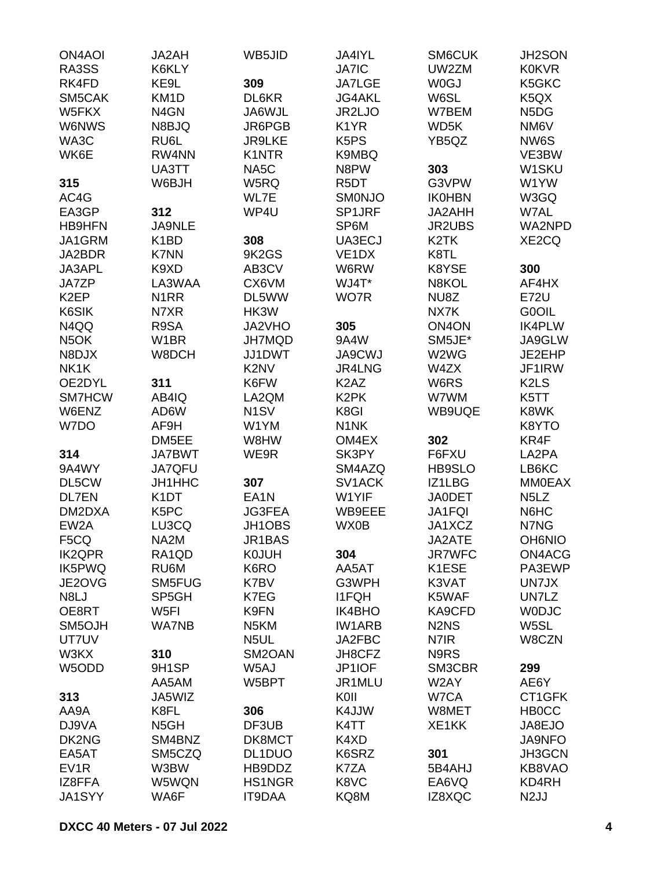| <b>ON4AOI</b>     | JA2AH             | WB5JID                        | JA4IYL                         | SM6CUK                        | JH2SON                        |
|-------------------|-------------------|-------------------------------|--------------------------------|-------------------------------|-------------------------------|
| RA3SS             | K6KLY             |                               | <b>JA7IC</b>                   | UW2ZM                         | <b>K0KVR</b>                  |
| RK4FD             | KE9L              | 309                           | <b>JA7LGE</b>                  | W0GJ                          | K5GKC                         |
| SM5CAK            | KM <sub>1</sub> D | DL6KR                         | <b>JG4AKL</b>                  | W6SL                          | K <sub>5</sub> Q <sub>X</sub> |
| W5FKX             | N <sub>4</sub> GN | JA6WJL                        | JR2LJO                         | W7BEM                         | N <sub>5</sub> D <sub>G</sub> |
| W6NWS             | N8BJQ             | JR6PGB                        | K <sub>1</sub> YR              | WD5K                          | NM6V                          |
| WA3C              | RU6L              | <b>JR9LKE</b>                 | K <sub>5</sub> P <sub>S</sub>  | YB5QZ                         | NW6S                          |
|                   | RW4NN             | K1NTR                         |                                |                               |                               |
| WK6E              |                   |                               | K9MBQ                          |                               | VE3BW                         |
|                   | UA3TT             | NA5C                          | N8PW                           | 303                           | W1SKU                         |
| 315               | W6BJH             | W5RQ                          | R <sub>5</sub> DT              | G3VPW                         | W1YW                          |
| AC4G              |                   | WL7E                          | <b>SMONJO</b>                  | <b>IK0HBN</b>                 | W3GQ                          |
| EA3GP             | 312               | WP4U                          | SP1JRF                         | JA2AHH                        | W7AL                          |
| <b>HB9HFN</b>     | <b>JA9NLE</b>     |                               | SP6M                           | <b>JR2UBS</b>                 | WA2NPD                        |
| JA1GRM            | K <sub>1</sub> BD | 308                           | UA3ECJ                         | K <sub>2</sub> TK             | XE2CQ                         |
| JA2BDR            | <b>K7NN</b>       | 9K2GS                         | VE <sub>1</sub> D <sub>X</sub> | K8TL                          |                               |
| JA3APL            | K9XD              | AB3CV                         | W6RW                           | K8YSE                         | 300                           |
| JA7ZP             | LA3WAA            | CX6VM                         | WJ4T*                          | N8KOL                         | AF4HX                         |
| K <sub>2</sub> EP | N <sub>1</sub> RR | DL5WW                         | WO7R                           | NU8Z                          | <b>E72U</b>                   |
| K6SIK             | N7XR              | HK3W                          |                                | NX7K                          | G0OIL                         |
|                   |                   |                               |                                |                               |                               |
| N4QQ              | R9SA              | JA2VHO                        | 305                            | ON <sub>4</sub> ON            | <b>IK4PLW</b>                 |
| N <sub>5</sub> OK | W <sub>1</sub> BR | <b>JH7MQD</b>                 | 9A4W                           | SM5JE*                        | JA9GLW                        |
| N8DJX             | W8DCH             | JJ1DWT                        | <b>JA9CWJ</b>                  | W2WG                          | JE2EHP                        |
| NK1K              |                   | K <sub>2</sub> N <sub>V</sub> | JR4LNG                         | W4ZX                          | JF1IRW                        |
| OE2DYL            | 311               | K6FW                          | K <sub>2</sub> A <sub>Z</sub>  | W6RS                          | K <sub>2</sub> L <sub>S</sub> |
| SM7HCW            | AB4IQ             | LA2QM                         | K <sub>2</sub> PK              | W7WM                          | K5TT                          |
| W6ENZ             | AD6W              | N <sub>1</sub> SV             | K8GI                           | WB9UQE                        | K8WK                          |
| W7DO              | AF9H              | W1YM                          | N <sub>1</sub> NK              |                               | K8YTO                         |
|                   | DM5EE             | W8HW                          | OM4EX                          | 302                           | KR4F                          |
| 314               | JA7BWT            | WE9R                          | SK3PY                          | F6FXU                         | LA2PA                         |
| 9A4WY             | JA7QFU            |                               | SM4AZQ                         | HB9SLO                        | LB6KC                         |
| DL5CW             | JH1HHC            | 307                           | SV1ACK                         | IZ1LBG                        | <b>MM0EAX</b>                 |
|                   |                   |                               |                                |                               |                               |
| <b>DL7EN</b>      | K <sub>1</sub> DT | EA <sub>1</sub> N             | W1YIF                          | <b>JA0DET</b>                 | N <sub>5</sub> L <sub>Z</sub> |
| DM2DXA            | K <sub>5</sub> PC | <b>JG3FEA</b>                 | WB9EEE                         | <b>JA1FQI</b>                 | N6HC                          |
| EW2A              | LU3CQ             | JH1OBS                        | WX0B                           | JA1XCZ                        | N7NG                          |
| F5CQ              | NA2M              | JR1BAS                        |                                | JA2ATE                        | <b>OH6NIO</b>                 |
| <b>IK2QPR</b>     | RA1QD             | <b>K0JUH</b>                  | 304                            | <b>JR7WFC</b>                 | ON4ACG                        |
| IK5PWQ            | RU6M              | K6RO                          | AA5AT                          | K1ESE                         | PA3EWP                        |
| JE2OVG            | SM5FUG            | K7BV                          | G3WPH                          | K3VAT                         | UN7JX                         |
| N8LJ              | SP5GH             | K7EG                          | <b>I1FQH</b>                   | K5WAF                         | UN7LZ                         |
| OE8RT             | W <sub>5FI</sub>  | K9FN                          | <b>IK4BHO</b>                  | KA9CFD                        | <b>WODJC</b>                  |
| SM5OJH            | <b>WA7NB</b>      | N <sub>5</sub> KM             | <b>IW1ARB</b>                  | N <sub>2</sub> N <sub>S</sub> | W5SL                          |
| UT7UV             |                   | N5UL                          | JA2FBC                         | N7IR                          | W8CZN                         |
| W3KX              | 310               | SM2OAN                        | JH8CFZ                         | N9RS                          |                               |
| W5ODD             | 9H1SP             | W <sub>5</sub> AJ             | JP1IOF                         | SM3CBR                        | 299                           |
|                   | AA5AM             | W5BPT                         | JR1MLU                         | W2AY                          | AE6Y                          |
|                   |                   |                               |                                |                               |                               |
| 313               | JA5WIZ            |                               | KOII                           | W7CA                          | CT1GFK                        |
| AA9A              | K8FL              | 306                           | K4JJW                          | W8MET                         | <b>HBOCC</b>                  |
| DJ9VA             | N <sub>5</sub> GH | DF3UB                         | K4TT                           | XE1KK                         | JA8EJO                        |
| DK2NG             | SM4BNZ            | DK8MCT                        | K4XD                           |                               | <b>JA9NFO</b>                 |
| EA5AT             | SM5CZQ            | DL1DUO                        | K6SRZ                          | 301                           | JH3GCN                        |
| EV <sub>1</sub> R | W3BW              | HB9DDZ                        | K7ZA                           | 5B4AHJ                        | KB8VAO                        |
| IZ8FFA            | W5WQN             | HS1NGR                        | K8VC                           | EA6VQ                         | KD4RH                         |
| <b>JA1SYY</b>     | WA6F              | IT9DAA                        | KQ8M                           | IZ8XQC                        | N <sub>2</sub> JJ             |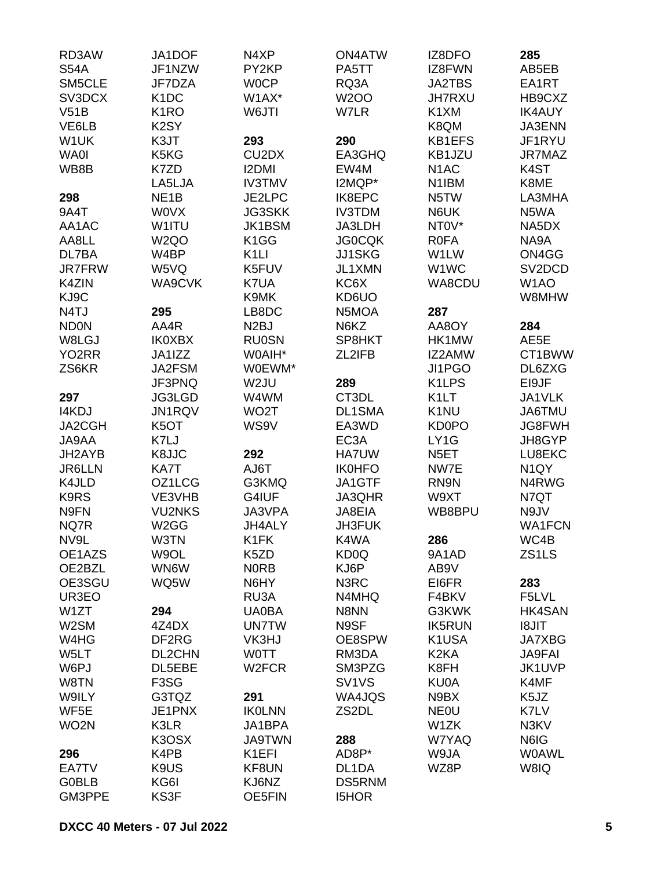| RD3AW              | JA1DOF                        | N4XP                           | <b>ON4ATW</b>                  | IZ8DFO             | 285                 |
|--------------------|-------------------------------|--------------------------------|--------------------------------|--------------------|---------------------|
| <b>S54A</b>        | JF1NZW                        | PY2KP                          | PA5TT                          | IZ8FWN             | AB5EB               |
| SM5CLE             | JF7DZA                        | <b>WOCP</b>                    | RQ3A                           | <b>JA2TBS</b>      | EA1RT               |
| SV3DCX             | K <sub>1</sub> DC             | W1AX*                          | <b>W2OO</b>                    | JH7RXU             | HB9CXZ              |
| V51B               | K <sub>1</sub> RO             | W6JTI                          | W7LR                           | K <sub>1</sub> XM  | <b>IK4AUY</b>       |
| VE6LB              | K <sub>2</sub> SY             |                                |                                | K8QM               | JA3ENN              |
| W1UK               | K3JT                          | 293                            | 290                            | KB1EFS             | JF1RYU              |
| <b>WA0I</b>        | K5KG                          | CU <sub>2</sub> D <sub>X</sub> | EA3GHQ                         | KB1JZU             | JR7MAZ              |
| WB8B               | K7ZD                          | <b>I2DMI</b>                   | EW4M                           | N <sub>1</sub> AC  | K <sub>4</sub> ST   |
|                    | LA5LJA                        | <b>IV3TMV</b>                  | I2MQP*                         | N1IBM              | K8ME                |
| 298                | NE <sub>1</sub> B             | JE2LPC                         | IK8EPC                         | N <sub>5</sub> TW  | LA3MHA              |
| 9A4T               | <b>WOVX</b>                   | <b>JG3SKK</b>                  | <b>IV3TDM</b>                  | N6UK               | N5WA                |
|                    |                               |                                |                                |                    |                     |
| AA1AC              | W1ITU                         | <b>JK1BSM</b>                  | JA3LDH                         | NT0V*              | NA5DX               |
| AA8LL              | W <sub>2Q</sub> O             | K <sub>1</sub> GG              | <b>JG0CQK</b>                  | <b>ROFA</b>        | NA9A                |
| DL7BA              | W4BP                          | K <sub>1</sub> LI              | <b>JJ1SKG</b>                  | W1LW               | ON4GG               |
| <b>JR7FRW</b>      | W5VQ                          | K5FUV                          | JL1XMN                         | W1WC               | SV <sub>2</sub> DCD |
| K4ZIN              | WA9CVK                        | K7UA                           | KC6X                           | WA8CDU             | W <sub>1</sub> AO   |
| KJ9C               |                               | K9MK                           | KD6UO                          |                    | W8MHW               |
| N4TJ               | 295                           | LB8DC                          | N5MOA                          | 287                |                     |
| <b>ND0N</b>        | AA4R                          | N <sub>2</sub> BJ              | N6KZ                           | AA8OY              | 284                 |
| W8LGJ              | <b>IK0XBX</b>                 | <b>RU0SN</b>                   | SP8HKT                         | HK1MW              | AE5E                |
| YO <sub>2</sub> RR | JA1IZZ                        | W0AIH*                         | ZL2IFB                         | IZ2AMW             | CT1BWW              |
| ZS6KR              | JA2FSM                        | W0EWM*                         |                                | JI1PGO             | DL6ZXG              |
|                    | JF3PNQ                        | W <sub>2</sub> JU              | 289                            | K <sub>1</sub> LPS | EI9JF               |
| 297                | JG3LGD                        | W4WM                           | CT3DL                          | K <sub>1</sub> LT  | JA1VLK              |
| I4KDJ              | JN1RQV                        | WO <sub>2</sub> T              | <b>DL1SMA</b>                  | K <sub>1</sub> NU  | JA6TMU              |
| JA2CGH             | K <sub>5</sub> OT             | WS9V                           | EA3WD                          | <b>KD0PO</b>       | JG8FWH              |
| JA9AA              | K7LJ                          |                                | EC <sub>3</sub> A              | LY1G               | JH8GYP              |
| JH2AYB             | K8JJC                         | 292                            | <b>HA7UW</b>                   | N <sub>5</sub> ET  | LU8EKC              |
| <b>JR6LLN</b>      | KA7T                          | AJ6T                           | <b>IK0HFO</b>                  | NW7E               | N <sub>1</sub> QY   |
| K4JLD              | OZ1LCG                        | G3KMQ                          | JA1GTF                         | RN9N               | N4RWG               |
| K9RS               | VE3VHB                        | G4IUF                          | JA3QHR                         | W9XT               | N7QT                |
| N9FN               | <b>VU2NKS</b>                 | JA3VPA                         | JA8EIA                         | WB8BPU             | N9JV                |
| NQ7R               | W <sub>2</sub> GG             | JH4ALY                         | <b>JH3FUK</b>                  |                    | <b>WA1FCN</b>       |
| NV9L               | W3TN                          | K1FK                           | K4WA                           | 286                | WC4B                |
| OE1AZS             | W9OL                          | K5ZD                           | KD <sub>0</sub> Q              | 9A1AD              | ZS1LS               |
| OE2BZL             | WN6W                          | <b>NORB</b>                    | KJ6P                           | AB9V               |                     |
| OE3SGU             | WQ5W                          | N6HY                           | N3RC                           | EI6FR              | 283                 |
| UR3EO              |                               | RU3A                           | N4MHQ                          | F4BKV              | F5LVL               |
| W <sub>1</sub> ZT  |                               |                                | N8NN                           |                    | <b>HK4SAN</b>       |
|                    | 294                           | <b>UA0BA</b>                   |                                | G3KWK              |                     |
| W2SM               | 4Z4DX                         | <b>UN7TW</b>                   | N9SF                           | <b>IK5RUN</b>      | <b>TIL8I</b>        |
| W4HG               | DF2RG                         | VK3HJ                          | OE8SPW                         | K1USA              | <b>JA7XBG</b>       |
| W5LT               | DL2CHN                        | <b>WOTT</b>                    | RM3DA                          | K <sub>2</sub> KA  | <b>JA9FAI</b>       |
| W6PJ               | DL5EBE                        | W <sub>2</sub> FCR             | SM3PZG                         | K8FH               | JK1UVP              |
| W8TN               | F <sub>3</sub> S <sub>G</sub> |                                | SV <sub>1</sub> V <sub>S</sub> | <b>KU0A</b>        | K4MF                |
| W9ILY              | G3TQZ                         | 291                            | WA4JQS                         | N9BX               | K <sub>5</sub> JZ   |
| WF5E               | JE1PNX                        | <b>IKOLNN</b>                  | ZS2DL                          | <b>NEOU</b>        | K7LV                |
| WO <sub>2</sub> N  | K3LR                          | JA1BPA                         |                                | W1ZK               | N3KV                |
|                    | K3OSX                         | <b>JA9TWN</b>                  | 288                            | W7YAQ              | N6IG                |
| 296                | K4PB                          | K <sub>1</sub> EFI             | AD8P*                          | W9JA               | <b>WOAWL</b>        |
| EA7TV              | K9US                          | KF8UN                          | DL1DA                          | WZ8P               | W8IQ                |
| <b>G0BLB</b>       | KG6I                          | KJ6NZ                          | <b>DS5RNM</b>                  |                    |                     |
| GM3PPE             | KS3F                          | <b>OE5FIN</b>                  | <b>I5HOR</b>                   |                    |                     |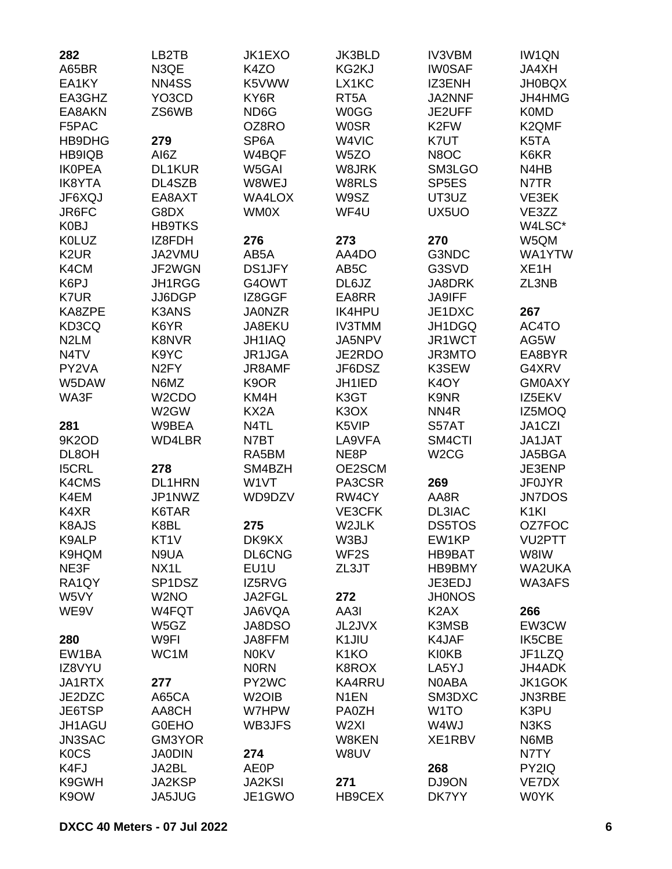| 282                | LB2TB                     | JK1EXO             | <b>JK3BLD</b>                 | <b>IV3VBM</b>                 | <b>IW1QN</b>                  |
|--------------------|---------------------------|--------------------|-------------------------------|-------------------------------|-------------------------------|
| A65BR              | N3QE                      | K <sub>4</sub> ZO  | KG2KJ                         | <b>IW0SAF</b>                 | JA4XH                         |
| EA1KY              | NN4SS                     | K5VWW              | LX1KC                         | IZ3ENH                        | <b>JH0BQX</b>                 |
| EA3GHZ             | YO3CD                     | KY6R               | RT <sub>5</sub> A             | JA2NNF                        | JH4HMG                        |
| EA8AKN             | ZS6WB                     | ND <sub>6</sub> G  | <b>W0GG</b>                   | JE2UFF                        | <b>K0MD</b>                   |
| F5PAC              |                           | OZ8RO              | <b>WOSR</b>                   | K2FW                          | K2QMF                         |
| HB9DHG             | 279                       | SP <sub>6</sub> A  | W4VIC                         | K7UT                          | K5TA                          |
| HB9IQB             | AI6Z                      | W4BQF              | W <sub>5</sub> ZO             | N8OC                          | K6KR                          |
| <b>IKOPEA</b>      | DL1KUR                    | W5GAI              | W8JRK                         | SM3LGO                        | N <sub>4</sub> H <sub>B</sub> |
| <b>IK8YTA</b>      | DL4SZB                    | W8WEJ              | W8RLS                         | SP <sub>5E</sub> S            | N7TR                          |
| JF6XQJ             | EA8AXT                    | <b>WA4LOX</b>      | W9SZ                          | UT3UZ                         | VE3EK                         |
| JR6FC              | G8DX                      | <b>WM0X</b>        | WF4U                          | UX5UO                         | VE3ZZ                         |
| K <sub>0</sub> BJ  | <b>HB9TKS</b>             |                    |                               |                               | W4LSC*                        |
| <b>K0LUZ</b>       | IZ8FDH                    | 276                | 273                           | 270                           | W5QM                          |
| K <sub>2</sub> UR  | JA2VMU                    | AB5A               | AA4DO                         | G3NDC                         | WA1YTW                        |
| K4CM               | JF2WGN                    | <b>DS1JFY</b>      | AB <sub>5</sub> C             | G3SVD                         | XE <sub>1</sub> H             |
| K6PJ               | JH1RGG                    | G4OWT              | DL6JZ                         | JA8DRK                        | ZL3NB                         |
| K7UR               | JJ6DGP                    | IZ8GGF             | EA8RR                         | <b>JA9IFF</b>                 |                               |
| KA8ZPE             | <b>K3ANS</b>              | <b>JA0NZR</b>      | <b>IK4HPU</b>                 | JE1DXC                        | 267                           |
| KD3CQ              | K6YR                      | JA8EKU             | <b>IV3TMM</b>                 | JH1DGQ                        | AC4TO                         |
| N <sub>2</sub> LM  | <b>K8NVR</b>              | JH1IAQ             | JA5NPV                        | JR1WCT                        | AG5W                          |
| N4TV               | K9YC                      | JR1JGA             | JE2RDO                        | <b>JR3MTO</b>                 | EA8BYR                        |
| PY2VA              |                           | JR8AMF             | JF6DSZ                        | K3SEW                         | G4XRV                         |
| W5DAW              | N <sub>2</sub> FY<br>N6MZ | K <sub>9</sub> OR  | JH1IED                        | K <sub>4</sub> OY             | <b>GM0AXY</b>                 |
|                    |                           |                    |                               | K9NR                          | IZ5EKV                        |
| WA3F               | W <sub>2</sub> CDO        | KM4H               | K3GT                          |                               |                               |
|                    | W <sub>2</sub> GW         | KX <sub>2</sub> A  | K <sub>3</sub> O <sub>X</sub> | NN <sub>4</sub> R             | IZ5MOQ                        |
| 281                | W9BEA                     | N4TL               | K5VIP                         | S57AT                         | JA1CZI                        |
| 9K2OD              | WD4LBR                    | N7BT               | LA9VFA                        | SM4CTI                        | JA1JAT                        |
| DL8OH              |                           | RA5BM              | NE8P                          | W <sub>2</sub> CG             | JA5BGA                        |
| <b>I5CRL</b>       | 278                       | SM4BZH             | OE2SCM                        |                               | JE3ENP                        |
| K4CMS              | <b>DL1HRN</b>             | W1VT               | PA3CSR                        | 269                           | <b>JF0JYR</b>                 |
| K4EM               | JP1NWZ                    | WD9DZV             | RW4CY                         | AA8R                          | <b>JN7DOS</b>                 |
| K4XR               | K6TAR                     |                    | VE3CFK                        | DL3IAC                        | K <sub>1</sub> KI             |
| K8AJS              | K8BL                      | 275                | W2JLK                         | <b>DS5TOS</b>                 | OZ7FOC                        |
| K9ALP              | KT <sub>1</sub> V         | DK9KX              | W3BJ                          | EW1KP                         | VU2PTT                        |
| K9HQM              | N9UA                      | DL6CNG             | WF <sub>2</sub> S             | <b>HB9BAT</b>                 | W8IW                          |
| NE3F               | NX1L                      | EU1U               | ZL3JT                         | HB9BMY                        | WA2UKA                        |
| RA <sub>1</sub> QY | SP <sub>1</sub> DSZ       | IZ5RVG             |                               | JE3EDJ                        | WA3AFS                        |
| W5VY               | W <sub>2</sub> NO         | JA2FGL             | 272                           | <b>JH0NOS</b>                 |                               |
| WE9V               | W4FQT                     | JA6VQA             | AA3I                          | K <sub>2</sub> A <sub>X</sub> | 266                           |
|                    | W5GZ                      | JA8DSO             | JL2JVX                        | K3MSB                         | EW3CW                         |
| 280                | W9FI                      | JA8FFM             | K1JIU                         | K4JAF                         | <b>IK5CBE</b>                 |
| EW1BA              | WC1M                      | <b>N0KV</b>        | K <sub>1</sub> KO             | <b>KI0KB</b>                  | JF1LZQ                        |
| IZ8VYU             |                           | <b>NORN</b>        | K8ROX                         | LA5YJ                         | JH4ADK                        |
| JA1RTX             | 277                       | PY2WC              | <b>KA4RRU</b>                 | N0ABA                         | JK1GOK                        |
| JE2DZC             | A65CA                     | W <sub>2</sub> OIB | N <sub>1</sub> EN             | SM3DXC                        | <b>JN3RBE</b>                 |
| JE6TSP             | AA8CH                     | W7HPW              | <b>PA0ZH</b>                  | W <sub>1</sub> TO             | K3PU                          |
| JH1AGU             | <b>GOEHO</b>              | WB3JFS             | W <sub>2XI</sub>              | W4WJ                          | N3KS                          |
| JN3SAC             | GM3YOR                    |                    | W8KEN                         | XE1RBV                        | N6MB                          |
| <b>KOCS</b>        | <b>JA0DIN</b>             | 274                | W8UV                          |                               | N7TY                          |
| K4FJ               | JA2BL                     | <b>AE0P</b>        |                               | 268                           | PY2IQ                         |
| K9GWH              | JA2KSP                    | <b>JA2KSI</b>      | 271                           | DJ9ON                         | VE7DX                         |
| K9OW               | JA5JUG                    | JE1GWO             | HB9CEX                        | DK7YY                         | <b>WOYK</b>                   |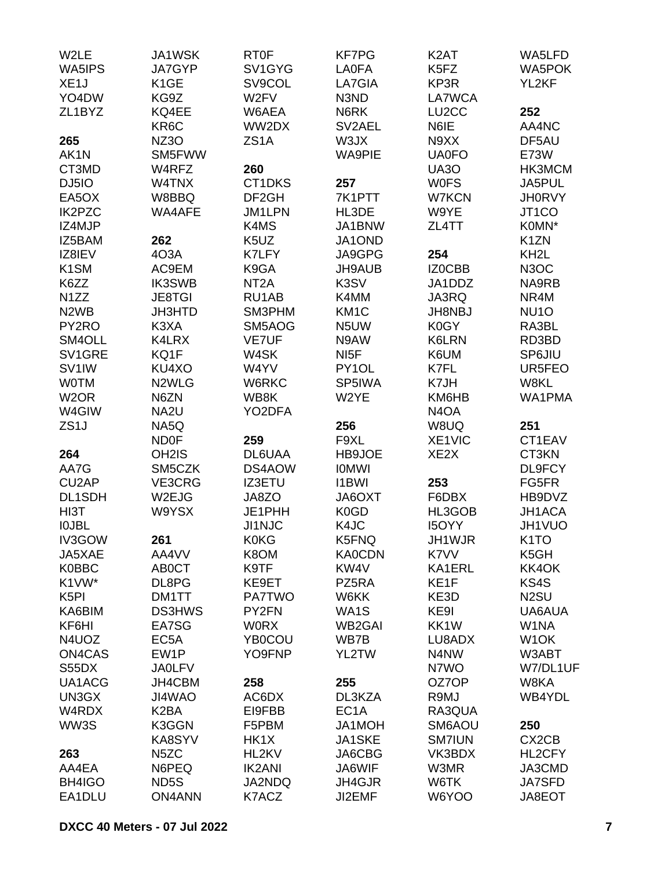| W2LE                          | JA1WSK             | <b>RT0F</b>                   | <b>KF7PG</b>                  | K <sub>2</sub> AT             | WA5LFD            |
|-------------------------------|--------------------|-------------------------------|-------------------------------|-------------------------------|-------------------|
| WA5IPS                        | JA7GYP             | SV1GYG                        | <b>LA0FA</b>                  | K <sub>5</sub> F <sub>Z</sub> | <b>WA5POK</b>     |
| XE <sub>1</sub> J             | K <sub>1</sub> GE  | SV9COL                        | LA7GIA                        | KP3R                          | YL2KF             |
| YO4DW                         | KG9Z               | W <sub>2</sub> FV             | N3ND                          | LA7WCA                        |                   |
| ZL1BYZ                        | KQ4EE              | W6AEA                         | N6RK                          | LU <sub>2</sub> CC            | 252               |
|                               | KR6C               | WW2DX                         | SV2AEL                        | N6IE                          | AA4NC             |
| 265                           | NZ3O               | ZS <sub>1</sub> A             | W3JX                          | N9XX                          | DF5AU             |
| AK1N                          | SM5FWW             |                               | <b>WA9PIE</b>                 | <b>UA0FO</b>                  | <b>E73W</b>       |
| CT3MD                         | W4RFZ              | 260                           |                               | <b>UA30</b>                   | HK3MCM            |
|                               |                    |                               |                               |                               |                   |
| DJ5IO                         | W4TNX              | CT1DKS                        | 257                           | <b>WOFS</b>                   | JA5PUL            |
| EA5OX                         | W8BBQ              | DF <sub>2GH</sub>             | 7K1PTT                        | <b>W7KCN</b>                  | <b>JH0RVY</b>     |
| <b>IK2PZC</b>                 | WA4AFE             | <b>JM1LPN</b>                 | HL3DE                         | W9YE                          | JT1CO             |
| IZ4MJP                        |                    | K4MS                          | JA1BNW                        | ZL4TT                         | K0MN*             |
| IZ5BAM                        | 262                | K <sub>5</sub> U <sub>Z</sub> | JA1OND                        |                               | K <sub>1</sub> ZN |
| IZ8IEV                        | 4O3A               | K7LFY                         | JA9GPG                        | 254                           | KH <sub>2</sub> L |
| K <sub>1</sub> SM             | AC9EM              | K9GA                          | JH9AUB                        | IZ0CBB                        | N <sub>3</sub> OC |
| K6ZZ                          | <b>IK3SWB</b>      | NT <sub>2</sub> A             | K3SV                          | JA1DDZ                        | NA9RB             |
| N1ZZ                          | <b>JE8TGI</b>      | RU1AB                         | K4MM                          | JA3RQ                         | NR4M              |
| N <sub>2</sub> W <sub>B</sub> | <b>JH3HTD</b>      | SM3PHM                        | KM <sub>1</sub> C             | <b>JH8NBJ</b>                 | NU <sub>10</sub>  |
| PY2RO                         | K3XA               | SM5AOG                        | N <sub>5</sub> UW             | K0GY                          | RA3BL             |
| SM4OLL                        | K4LRX              | <b>VE7UF</b>                  | N9AW                          | K6LRN                         | RD3BD             |
| SV1GRE                        | KQ1F               | W4SK                          | NI <sub>5</sub> F             | K6UM                          | SP6JIU            |
| SV <sub>1</sub> IW            | KU4XO              | W4YV                          | PY1OL                         | K7FL                          | UR5FEO            |
| <b>WOTM</b>                   | N <sub>2</sub> WLG | W6RKC                         | SP5IWA                        | K7JH                          | W8KL              |
| W <sub>2</sub> OR             | N6ZN               | WB8K                          | W2YE                          | KM6HB                         | WA1PMA            |
|                               |                    |                               |                               |                               |                   |
| W4GIW                         | NA2U               | YO2DFA                        |                               | N <sub>4</sub> O <sub>A</sub> |                   |
| ZS <sub>1</sub> J             | NA5Q               |                               | 256                           | W8UQ                          | 251               |
|                               | <b>ND0F</b>        | 259                           | F9XL                          | XE1VIC                        | CT1EAV            |
| 264                           | OH <sub>2</sub> IS | DL6UAA                        | HB9JOE                        | XE <sub>2</sub> X             | CT3KN             |
| AA7G                          | SM5CZK             | DS4AOW                        | <b>IOMWI</b>                  |                               | DL9FCY            |
| CU <sub>2</sub> AP            | VE3CRG             | <b>IZ3ETU</b>                 | <b>I1BWI</b>                  | 253                           | FG5FR             |
| DL1SDH                        | W2EJG              | JA8ZO                         | JA6OXT                        | F6DBX                         | HB9DVZ            |
| HI3T                          | W9YSX              | JE1PHH                        | K <sub>0</sub> G <sub>D</sub> | HL3GOB                        | JH1ACA            |
| <b>IOJBL</b>                  |                    | <b>JI1NJC</b>                 | K4JC                          | <b>I5OYY</b>                  | JH1VUO            |
| IV3GOW                        | 261                | <b>K0KG</b>                   | K5FNQ                         | JH1WJR                        | K <sub>1</sub> TO |
| JA5XAE                        | AA4VV              | K8OM                          | <b>KA0CDN</b>                 | K7VV                          | K5GH              |
| <b>K0BBC</b>                  | <b>ABOCT</b>       | K9TF                          | KW4V                          | KA1ERL                        | KK4OK             |
| K1VW*                         | DL8PG              | KE9ET                         | PZ5RA                         | KE <sub>1F</sub>              | KS4S              |
| K <sub>5</sub> PI             | DM1TT              | <b>PA7TWO</b>                 | W6KK                          | KE3D                          | N <sub>2</sub> SU |
| KA6BIM                        | <b>DS3HWS</b>      | PY2FN                         | WA1S                          | KE9I                          | UA6AUA            |
| KF6HI                         | EA7SG              | <b>WORX</b>                   | WB <sub>2</sub> GAI           | KK1W                          | W1NA              |
| N4UOZ                         | EC <sub>5</sub> A  | <b>YB0COU</b>                 | WB7B                          | LU8ADX                        | W <sub>1</sub> OK |
| ON4CAS                        | EW1P               | YO9FNP                        | YL2TW                         | N4NW                          | W3ABT             |
| S55DX                         | <b>JA0LFV</b>      |                               |                               | N7WO                          | W7/DL1UF          |
|                               |                    |                               |                               |                               |                   |
| UA1ACG                        | JH4CBM             | 258                           | 255                           | OZ7OP                         | W8KA              |
| UN3GX                         | JI4WAO             | AC6DX                         | DL3KZA                        | R9MJ                          | WB4YDL            |
| W4RDX                         | K <sub>2</sub> BA  | EI9FBB                        | EC <sub>1</sub> A             | RA3QUA                        |                   |
| WW3S                          | K3GGN              | F5PBM                         | JA1MOH                        | SM6AOU                        | 250               |
|                               | KA8SYV             | HK1X                          | JA1SKE                        | <b>SM7IUN</b>                 | CX2CB             |
| 263                           | N <sub>5</sub> ZC  | HL2KV                         | JA6CBG                        | VK3BDX                        | HL2CFY            |
| AA4EA                         | N6PEQ              | <b>IK2ANI</b>                 | JA6WIF                        | W3MR                          | JA3CMD            |
| BH4IGO                        | ND <sub>5</sub> S  | JA2NDQ                        | JH4GJR                        | W6TK                          | <b>JA7SFD</b>     |
| EA1DLU                        | <b>ON4ANN</b>      | K7ACZ                         | JI2EMF                        | W6YOO                         | JA8EOT            |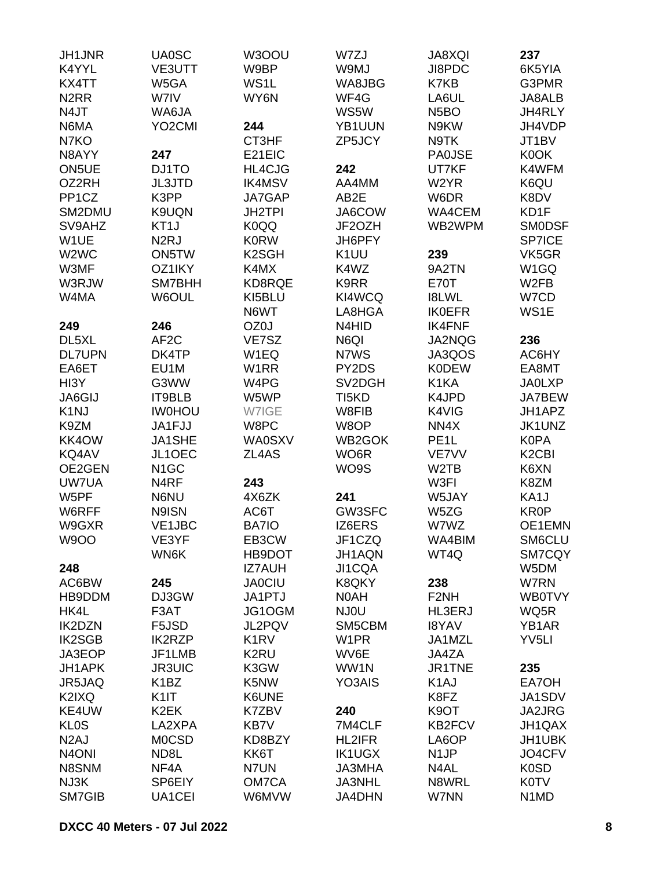| JH1JNR                        | <b>UA0SC</b>        | W3OOU              | W7ZJ               | JA8XQI            | 237                            |
|-------------------------------|---------------------|--------------------|--------------------|-------------------|--------------------------------|
| K4YYL                         | VE3UTT              | W9BP               | W9MJ               | JI8PDC            | 6K5YIA                         |
| KX4TT                         | W5GA                | WS1L               | WA8JBG             | K7KB              | G3PMR                          |
| N <sub>2</sub> RR             | W7IV                | WY6N               | WF4G               | LA6UL             | JA8ALB                         |
| N4JT                          | WA6JA               |                    | WS5W               | N <sub>5</sub> BO | JH4RLY                         |
| N6MA                          | YO <sub>2</sub> CMI | 244                | YB1UUN             | N9KW              | JH4VDP                         |
| N7KO                          |                     | CT3HF              | ZP5JCY             | N9TK              | JT1BV                          |
| N8AYY                         | 247                 | E21EIC             |                    | <b>PA0JSE</b>     | K0OK                           |
| ON5UE                         | DJ1TO               | <b>HL4CJG</b>      | 242                | UT7KF             | K4WFM                          |
|                               |                     |                    |                    |                   |                                |
| OZ2RH                         | <b>JL3JTD</b>       | <b>IK4MSV</b>      | AA4MM              | W2YR              | K6QU                           |
| PP <sub>1</sub> CZ            | K3PP                | JA7GAP             | AB2E               | W6DR              | K8DV                           |
| SM2DMU                        | K9UQN               | <b>JH2TPI</b>      | JA6COW             | WA4CEM            | KD1F                           |
| SV9AHZ                        | KT <sub>1</sub> J   | K0QQ               | JF2OZH             | WB2WPM            | <b>SMODSF</b>                  |
| W1UE                          | N <sub>2</sub> RJ   | <b>K0RW</b>        | JH6PFY             |                   | <b>SP7ICE</b>                  |
| W <sub>2</sub> W <sub>C</sub> | ON5TW               | K <sub>2</sub> SGH | K <sub>1</sub> UU  | 239               | VK5GR                          |
| W3MF                          | OZ1IKY              | K4MX               | K4WZ               | 9A2TN             | W <sub>1</sub> GQ              |
| W3RJW                         | SM7BHH              | KD8RQE             | K9RR               | <b>E70T</b>       | W <sub>2</sub> FB              |
| W4MA                          | W6OUL               | KI5BLU             | KI4WCQ             | <b>I8LWL</b>      | W7CD                           |
|                               |                     | N6WT               | LA8HGA             | <b>IK0EFR</b>     | WS1E                           |
| 249                           | 246                 | OZ0J               | N4HID              | <b>IK4FNF</b>     |                                |
| DL5XL                         | AF <sub>2</sub> C   | VE7SZ              | N6QI               | JA2NQG            | 236                            |
| <b>DL7UPN</b>                 | DK4TP               | W1EQ               | N7WS               | JA3QOS            | AC6HY                          |
| EA6ET                         | EU1M                | W1RR               | PY2DS              | <b>K0DEW</b>      | EA8MT                          |
| HI3Y                          | G3WW                | W4PG               | SV2DGH             | K1KA              | <b>JA0LXP</b>                  |
| <b>JA6GIJ</b>                 | IT9BLB              | W5WP               | TI <sub>5</sub> KD | K4JPD             | JA7BEW                         |
| K <sub>1</sub> NJ             | <b>IW0HOU</b>       | W7IGE              | W8FIB              | K4VIG             | JH1APZ                         |
| K9ZM                          | JA1FJJ              | W8PC               | W8OP               | NN4X              | JK1UNZ                         |
| KK4OW                         | JA1SHE              | <b>WA0SXV</b>      | WB2GOK             | PE <sub>1</sub> L | <b>K0PA</b>                    |
|                               |                     |                    |                    |                   |                                |
| KQ4AV                         | JL1OEC              | ZL4AS              | WO <sub>6</sub> R  | <b>VE7VV</b>      | K <sub>2</sub> C <sub>BI</sub> |
| OE2GEN                        | N <sub>1</sub> GC   |                    | WO9S               | W <sub>2</sub> TB | K6XN                           |
| <b>UW7UA</b>                  | N <sub>4</sub> RF   | 243                |                    | W3FI              | K8ZM                           |
| W5PF                          | N6NU                | 4X6ZK              | 241                | W5JAY             | KA1J                           |
| W6RFF                         | N9ISN               | AC6T               | GW3SFC             | W5ZG              | <b>KR0P</b>                    |
| W9GXR                         | VE1JBC              | <b>BA7IO</b>       | IZ6ERS             | W7WZ              | OE1EMN                         |
| <b>W9OO</b>                   | VE3YF               | EB3CW              | JF1CZQ             | WA4BIM            | SM6CLU                         |
|                               | WN6K                | HB9DOT             | JH1AQN             | WT4Q              | <b>SM7CQY</b>                  |
| 248                           |                     | IZ7AUH             | JI1CQA             |                   | W5DM                           |
| AC6BW                         | 245                 | <b>JA0CIU</b>      | K8QKY              | 238               | W7RN                           |
| HB9DDM                        | DJ3GW               | JA1PTJ             | N0AH               | F <sub>2</sub> NH | <b>WB0TVY</b>                  |
| HK4L                          | F3AT                | JG1OGM             | NJ0U               | HL3ERJ            | WQ5R                           |
| <b>IK2DZN</b>                 | F5JSD               | JL2PQV             | SM5CBM             | <b>I8YAV</b>      | YB1AR                          |
| <b>IK2SGB</b>                 | <b>IK2RZP</b>       | K <sub>1</sub> RV  | W <sub>1</sub> PR  | JA1MZL            | YV <sub>5LI</sub>              |
| JA3EOP                        | JF1LMB              | K <sub>2</sub> RU  | WV6E               | JA4ZA             |                                |
| JH1APK                        | <b>JR3UIC</b>       | K3GW               | WW1N               | JR1TNE            | 235                            |
| JR5JAQ                        | K <sub>1</sub> BZ   | K5NW               | YO3AIS             | K <sub>1</sub> AJ | EA7OH                          |
| K2IXQ                         | K <sub>1</sub>      | K6UNE              |                    | K8FZ              | JA1SDV                         |
| KE4UW                         | K <sub>2</sub> EK   | K7ZBV              | 240                | K9OT              | JA2JRG                         |
| <b>KLOS</b>                   | LA2XPA              | KB7V               | 7M4CLF             | <b>KB2FCV</b>     | JH1QAX                         |
|                               |                     |                    |                    |                   |                                |
| N <sub>2</sub> AJ             | <b>MOCSD</b>        | KD8BZY             | HL2IFR             | LA6OP             | JH1UBK                         |
| N <sub>4</sub> ONI            | ND8L                | KK6T               | <b>IK1UGX</b>      | N <sub>1</sub> JP | JO4CFV                         |
| N8SNM                         | NF4A                | N7UN               | <b>JA3MHA</b>      | N4AL              | <b>K0SD</b>                    |
| NJ3K                          | SP6EIY              | OM7CA              | JA3NHL             | N8WRL             | <b>K0TV</b>                    |
| SM7GIB                        | UA1CEI              | W6MVW              | JA4DHN             | W7NN              | N <sub>1</sub> M <sub>D</sub>  |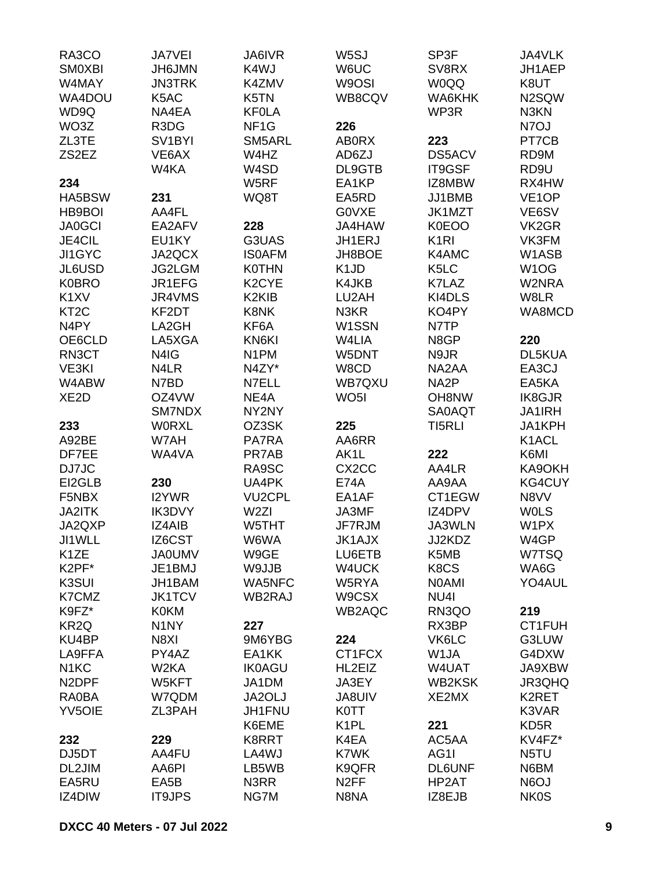| RA3CO              | <b>JA7VEI</b>       | <b>JA6IVR</b>                  | W5SJ                          | SP3F              | JA4VLK             |
|--------------------|---------------------|--------------------------------|-------------------------------|-------------------|--------------------|
| <b>SMOXBI</b>      | <b>JH6JMN</b>       | K4WJ                           | W6UC                          | SV8RX             | JH1AEP             |
| W4MAY              | <b>JN3TRK</b>       | K4ZMV                          | W9OSI                         | W0QQ              | K8UT               |
| WA4DOU             | K5AC                | K5TN                           | WB8CQV                        | WA6KHK            | N2SQW              |
| WD9Q               | NA4EA               | <b>KFOLA</b>                   |                               | WP3R              | N3KN               |
| WO3Z               | R3DG                | NF <sub>1</sub> G              | 226                           |                   | N7OJ               |
| ZL3TE              | SV <sub>1</sub> BYI | SM5ARL                         | <b>ABORX</b>                  | 223               | PT7CB              |
| ZS2EZ              | VE6AX               | W4HZ                           | AD6ZJ                         | DS5ACV            | RD9M               |
|                    | W4KA                | W4SD                           | DL9GTB                        | IT9GSF            | RD9U               |
| 234                |                     | W5RF                           | EA1KP                         | IZ8MBW            | RX4HW              |
| HA5BSW             | 231                 | WQ8T                           | EA5RD                         | JJ1BMB            | VE <sub>1</sub> OP |
| HB9BOI             | AA4FL               |                                | G0VXE                         | JK1MZT            | VE6SV              |
| <b>JA0GCI</b>      | EA2AFV              | 228                            | JA4HAW                        | K0EOO             | VK2GR              |
| JE4CIL             | EU1KY               | G3UAS                          | JH1ERJ                        | K <sub>1</sub> RI | VK3FM              |
| JI1GYC             | JA2QCX              | <b>ISOAFM</b>                  | JH8BOE                        | K4AMC             | W1ASB              |
| JL6USD             | <b>JG2LGM</b>       | <b>K0THN</b>                   | K <sub>1</sub> J <sub>D</sub> | K <sub>5</sub> LC | W1OG               |
| <b>K0BRO</b>       | JR1EFG              | K <sub>2</sub> CYE             | K4JKB                         | K7LAZ             | W2NRA              |
| K <sub>1</sub> XV  | JR4VMS              | K <sub>2</sub> KI <sub>B</sub> | LU2AH                         | KI4DLS            | W8LR               |
| KT <sub>2</sub> C  | KF2DT               | K8NK                           | N3KR                          | KO4PY             | WA8MCD             |
| N <sub>4</sub> PY  | LA2GH               | KF6A                           | W1SSN                         | N7TP              |                    |
| OE6CLD             | LA5XGA              | KN6KI                          | W4LIA                         | N8GP              | 220                |
| RN3CT              | N4IG                | N <sub>1</sub> PM              | W5DNT                         | N9JR              | DL5KUA             |
| VE3KI              | N4LR                | N4ZY*                          | W8CD                          | NA2AA             | EA3CJ              |
| W4ABW              | N7BD                | N7ELL                          | WB7QXU                        | NA <sub>2</sub> P | EA5KA              |
| XE <sub>2</sub> D  | OZ4VW               | NE4A                           | WO <sub>5</sub> I             | OH8NW             | <b>IK8GJR</b>      |
|                    | SM7NDX              | NY2NY                          |                               | <b>SA0AQT</b>     | <b>JA1IRH</b>      |
| 233                | <b>WORXL</b>        | OZ3SK                          | 225                           | TI5RLI            | JA1KPH             |
| A92BE              |                     |                                | AA6RR                         |                   | K1ACL              |
|                    | W7AH                | PA7RA<br>PR7AB                 |                               | 222               |                    |
| DF7EE              | WA4VA               |                                | AK1L<br>CX <sub>2</sub> CC    |                   | K6MI<br>KA9OKH     |
| DJ7JC              |                     | RA9SC                          | <b>E74A</b>                   | AA4LR<br>AA9AA    |                    |
| EI2GLB             | 230                 | UA4PK                          |                               |                   | <b>KG4CUY</b>      |
| F5NBX              | I2YWR               | <b>VU2CPL</b>                  | EA1AF                         | CT1EGW            | N8VV               |
| JA2ITK             | <b>IK3DVY</b>       | W <sub>2ZI</sub>               | JA3MF                         | IZ4DPV            | <b>WOLS</b>        |
| JA2QXP             | <b>IZ4AIB</b>       | W5THT                          | JF7RJM                        | JA3WLN            | W1PX               |
| JI1WLL             | IZ6CST              | W6WA                           | JK1AJX                        | JJ2KDZ            | W4GP               |
| K <sub>1</sub> ZE  | <b>JA0UMV</b>       | W9GE                           | LU6ETB                        | K5MB              | W7TSQ              |
| K2PF*              | JE1BMJ              | W9JJB                          | W4UCK                         | K8CS              | WA6G               |
| K3SUI              | JH1BAM              | <b>WA5NFC</b>                  | W5RYA                         | <b>NOAMI</b>      | YO4AUL             |
| K7CMZ              | <b>JK1TCV</b>       | WB2RAJ                         | W9CSX                         | NU4I              |                    |
| K9FZ*              | <b>K0KM</b>         |                                | WB2AQC                        | RN3QO             | 219                |
| KR <sub>2Q</sub>   | N <sub>1</sub> NY   | 227                            |                               | RX3BP             | CT1FUH             |
| KU4BP              | N8XI                | 9M6YBG                         | 224                           | VK6LC             | G3LUW              |
| LA9FFA             | PY4AZ               | EA1KK                          | CT1FCX                        | W1JA              | G4DXW              |
| N <sub>1</sub> KC  | W <sub>2</sub> KA   | <b>IK0AGU</b>                  | HL2EIZ                        | W4UAT             | JA9XBW             |
| N <sub>2</sub> DPF | W5KFT               | JA1DM                          | JA3EY                         | <b>WB2KSK</b>     | JR3QHQ             |
| RA0BA              | W7QDM               | JA2OLJ                         | <b>JA8UIV</b>                 | XE2MX             | K2RET              |
| <b>YV5OIE</b>      | ZL3PAH              | JH1FNU                         | <b>K0TT</b>                   |                   | K3VAR              |
|                    |                     | K6EME                          | K <sub>1</sub> PL             | 221               | KD <sub>5</sub> R  |
| 232                | 229                 | K8RRT                          | K4EA                          | AC5AA             | KV4FZ*             |
| DJ5DT              | AA4FU               | LA4WJ                          | K7WK                          | AG1I              | N5TU               |
| DL2JIM             | AA6PI               | LB5WB                          | K9QFR                         | <b>DL6UNF</b>     | N6BM               |
| EA5RU              | EA5B                | N3RR                           | N <sub>2</sub> FF             | HP2AT             | N6OJ               |
| IZ4DIW             | <b>IT9JPS</b>       | NG7M                           | N8NA                          | IZ8EJB            | <b>NK0S</b>        |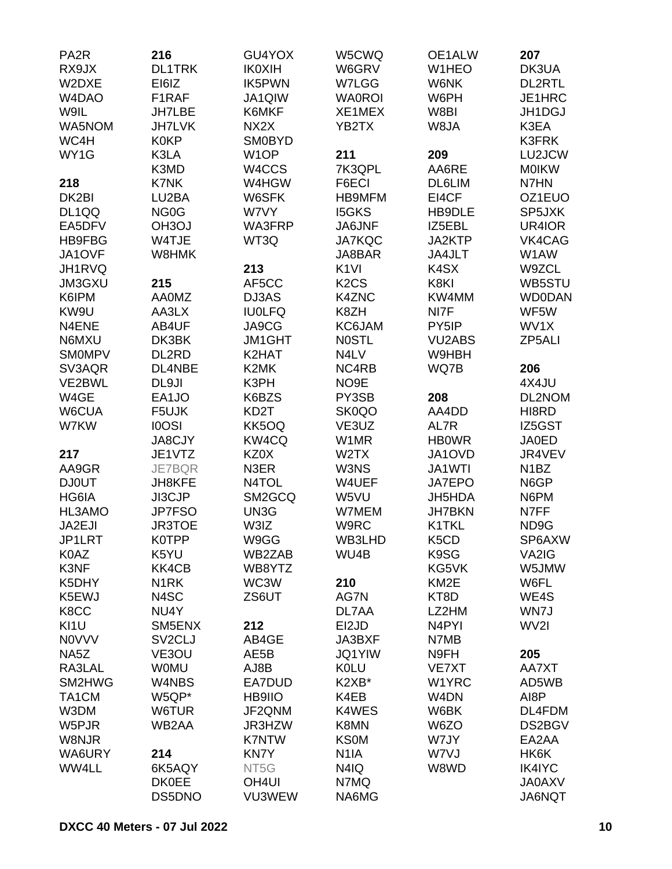| PA <sub>2</sub> R  | 216                 | GU4YOX            | W5CWQ                         | OE1ALW             | 207               |
|--------------------|---------------------|-------------------|-------------------------------|--------------------|-------------------|
| RX9JX              | <b>DL1TRK</b>       | <b>IK0XIH</b>     | W6GRV                         | W1HEO              | DK3UA             |
| W2DXE              | EI6IZ               | <b>IK5PWN</b>     | W7LGG                         | W6NK               | <b>DL2RTL</b>     |
| W <sub>4</sub> DAO | F1RAF               | JA1QIW            | <b>WA0ROI</b>                 | W6PH               | JE1HRC            |
| W9IL               | <b>JH7LBE</b>       | K6MKF             | XE1MEX                        | W8BI               | JH1DGJ            |
| WA5NOM             | <b>JH7LVK</b>       | NX2X              | YB2TX                         | W8JA               | K3EA              |
| WC4H               | <b>K0KP</b>         | <b>SM0BYD</b>     |                               |                    | <b>K3FRK</b>      |
|                    | K3LA                | W <sub>1</sub> OP |                               |                    |                   |
| WY1G               |                     |                   | 211                           | 209                | LU2JCW            |
|                    | K3MD                | W4CCS             | 7K3QPL                        | AA6RE              | <b>MOIKW</b>      |
| 218                | K7NK                | W4HGW             | F6ECI                         | <b>DL6LIM</b>      | N7HN              |
| DK2BI              | LU2BA               | W6SFK             | <b>HB9MFM</b>                 | EI4CF              | OZ1EUO            |
| DL1QQ              | NG <sub>0</sub> G   | W7VY              | <b>I5GKS</b>                  | HB9DLE             | SP5JXK            |
| EA5DFV             | OH <sub>3</sub> OJ  | WA3FRP            | JA6JNF                        | IZ5EBL             | UR4IOR            |
| <b>HB9FBG</b>      | W4TJE               | WT3Q              | <b>JA7KQC</b>                 | JA2KTP             | VK4CAG            |
| JA1OVF             | W8HMK               |                   | JA8BAR                        | JA4JLT             | W1AW              |
| JH1RVQ             |                     | 213               | K <sub>1VI</sub>              | K <sub>4</sub> SX  | W9ZCL             |
| <b>JM3GXU</b>      | 215                 | AF5CC             | K <sub>2</sub> C <sub>S</sub> | K8KI               | WB5STU            |
| K6IPM              | <b>AA0MZ</b>        | DJ3AS             | K4ZNC                         | KW4MM              | <b>WD0DAN</b>     |
| KW9U               | AA3LX               | <b>IU0LFQ</b>     | K8ZH                          | NI7F               | WF5W              |
| N4ENE              | AB4UF               | JA9CG             | KC6JAM                        | PY5IP              | WV1X              |
| N6MXU              | DK3BK               | <b>JM1GHT</b>     | <b>NOSTL</b>                  | <b>VU2ABS</b>      | ZP5ALI            |
| <b>SMOMPV</b>      | DL2RD               | K2HAT             | N4LV                          | W9HBH              |                   |
| SV3AQR             | DL4NBE              | K2MK              | NC4RB                         | WQ7B               | 206               |
| VE2BWL             | DL9JI               | K3PH              | NO9E                          |                    | 4X4JU             |
| W4GE               | EA1JO               | K6BZS             | PY3SB                         | 208                | DL2NOM            |
|                    |                     | KD <sub>2</sub> T |                               | AA4DD              |                   |
| W6CUA              | F5UJK               |                   | SK0QO                         |                    | HI8RD             |
| W7KW               | <b>IOOSI</b>        | KK5OQ             | VE3UZ                         | AL7R               | IZ5GST            |
|                    | <b>JA8CJY</b>       | KW4CQ             | W1MR                          | <b>HBOWR</b>       | <b>JA0ED</b>      |
| 217                | JE1VTZ              | KZ0X              | W <sub>2</sub> TX             | JA1OVD             | JR4VEV            |
| AA9GR              | JE7BQR              | N3ER              | W3NS                          | JA1WTI             | N <sub>1</sub> BZ |
| <b>DJ0UT</b>       | JH8KFE              | N4TOL             | W4UEF                         | JA7EPO             | N6GP              |
| HG6IA              | JI3CJP              | SM2GCQ            | W5VU                          | JH5HDA             | N6PM              |
| HL3AMO             | <b>JP7FSO</b>       | UN3G              | W7MEM                         | <b>JH7BKN</b>      | N7FF              |
| JA2EJI             | <b>JR3TOE</b>       | W3IZ              | W9RC                          | K1TKL              | ND9G              |
| JP1LRT             | <b>K0TPP</b>        | W9GG              | WB3LHD                        | K5CD               | SP6AXW            |
| K0AZ               | K5YU                | WB2ZAB            | WU4B                          | K9SG               | VA2IG             |
| K3NF               | KK4CB               | WB8YTZ            |                               | KG5VK              | W5JMW             |
| K5DHY              | N <sub>1</sub> RK   | WC3W              | 210                           | KM <sub>2</sub> E  | W6FL              |
| K5EWJ              | N4SC                | ZS6UT             | AG7N                          | KT8D               | WE4S              |
| K8CC               | NU4Y                |                   | DL7AA                         | LZ2HM              | WN7J              |
| KI1U               | SM5ENX              | 212               | EI2JD                         | N <sub>4</sub> PYI | WV2I              |
| <b>NOVVV</b>       | SV <sub>2</sub> CLJ | AB4GE             | JA3BXF                        | N7MB               |                   |
| NA5Z               | VE3OU               | AE5B              | <b>JQ1YIW</b>                 | N9FH               | 205               |
| RA3LAL             | <b>WOMU</b>         | AJ8B              | <b>KOLU</b>                   | VE7XT              | AA7XT             |
| SM2HWG             | W4NBS               | EA7DUD            | K2XB*                         | W1YRC              | AD5WB             |
| TA1CM              | W5QP*               | HB9IIO            | K4EB                          | W4DN               | AI8P              |
|                    |                     |                   |                               |                    |                   |
| W3DM               | W6TUR               | JF2QNM            | K4WES                         | W6BK               | DL4FDM            |
| W5PJR              | WB2AA               | JR3HZW            | K8MN                          | W6ZO               | DS2BGV            |
| W8NJR              |                     | <b>K7NTW</b>      | <b>KS0M</b>                   | W7JY               | EA2AA             |
| WA6URY             | 214                 | <b>KN7Y</b>       | N <sub>1</sub> IA             | W7VJ               | HK6K              |
| WW4LL              | 6K5AQY              | NT <sub>5</sub> G | N4IQ                          | W8WD               | <b>IK4IYC</b>     |
|                    | <b>DK0EE</b>        | OH <sub>4UI</sub> | N7MQ                          |                    | <b>JA0AXV</b>     |
|                    | DS5DNO              | VU3WEW            | NA6MG                         |                    | JA6NQT            |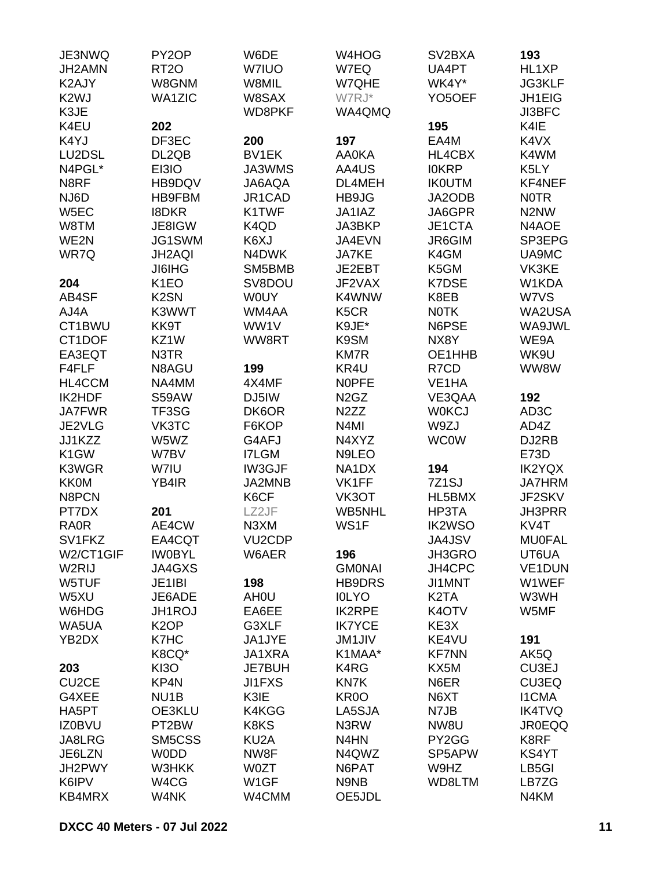| JE3NWQ             | PY <sub>2</sub> OP | W6DE                          | W4HOG                         | SV2BXA                        | 193                           |
|--------------------|--------------------|-------------------------------|-------------------------------|-------------------------------|-------------------------------|
| JH2AMN             | <b>RT20</b>        | <b>W7IUO</b>                  | W7EQ                          | UA4PT                         | HL1XP                         |
| K2AJY              | W8GNM              | W8MIL                         | W7QHE                         | WK4Y*                         | <b>JG3KLF</b>                 |
| K <sub>2</sub> WJ  | <b>WA1ZIC</b>      | W8SAX                         | W7RJ*                         | YO5OEF                        | JH1EIG                        |
| K3JE               |                    | WD8PKF                        | WA4QMQ                        |                               | <b>JI3BFC</b>                 |
| K4EU               | 202                |                               |                               | 195                           | K4IE                          |
| K4YJ               | DF3EC              | 200                           | 197                           | EA4M                          | K4VX                          |
| LU2DSL             |                    | <b>BV1EK</b>                  |                               |                               |                               |
|                    | DL2QB              |                               | <b>AA0KA</b>                  | HL4CBX                        | K4WM                          |
| N4PGL*             | EI3IO              | JA3WMS                        | AA4US                         | <b>IOKRP</b>                  | K5LY                          |
| N8RF               | HB9DQV             | JA6AQA                        | DL4MEH                        | <b>IKOUTM</b>                 | KF4NEF                        |
| NJ6D               | HB9FBM             | JR1CAD                        | HB9JG                         | JA2ODB                        | <b>NOTR</b>                   |
| W5EC               | <b>I8DKR</b>       | K1TWF                         | JA1IAZ                        | JA6GPR                        | N <sub>2</sub> N <sub>W</sub> |
| W8TM               | JE8IGW             | K <sub>4</sub> Q <sub>D</sub> | JA3BKP                        | JE1CTA                        | N4AOE                         |
| WE2N               | JG1SWM             | K6XJ                          | JA4EVN                        | JR6GIM                        | SP3EPG                        |
| WR7Q               | <b>JH2AQI</b>      | N4DWK                         | <b>JA7KE</b>                  | K4GM                          | UA9MC                         |
|                    | <b>JI6IHG</b>      | SM5BMB                        | JE2EBT                        | K5GM                          | VK3KE                         |
| 204                | K <sub>1</sub> EO  | SV8DOU                        | JF2VAX                        | K7DSE                         | W1KDA                         |
| AB4SF              | K <sub>2</sub> SN  | <b>WOUY</b>                   | K4WNW                         | K8EB                          | W7VS                          |
| AJ4A               | K3WWT              | WM4AA                         | K <sub>5</sub> CR             | <b>NOTK</b>                   | WA2USA                        |
| CT1BWU             | KK9T               | WW1V                          | K9JE*                         | N6PSE                         | WA9JWL                        |
| CT1DOF             | KZ1W               | WW8RT                         | K9SM                          | NX8Y                          | WE9A                          |
| EA3EQT             | N3TR               |                               | <b>KM7R</b>                   | OE1HHB                        | WK9U                          |
| F4FLF              | N8AGU              | 199                           | KR4U                          | R7CD                          | WW8W                          |
| HL4CCM             | NA4MM              | 4X4MF                         | <b>NOPFE</b>                  | VE <sub>1</sub> HA            |                               |
| IK2HDF             | S59AW              | DJ5IW                         | N <sub>2</sub> G <sub>Z</sub> | VE3QAA                        | 192                           |
| <b>JA7FWR</b>      |                    |                               | N <sub>2</sub> ZZ             |                               |                               |
|                    | TF3SG              | DK6OR                         |                               | <b>WOKCJ</b>                  | AD3C                          |
| JE2VLG             | VK3TC              | F6KOP                         | N4MI                          | W9ZJ                          | AD4Z                          |
| JJ1KZZ             | W5WZ               | G4AFJ                         | N4XYZ                         | <b>WC0W</b>                   | DJ2RB                         |
| K <sub>1</sub> GW  | W7BV               | <b>I7LGM</b>                  | N9LEO                         |                               | E73D                          |
| K3WGR              | W7IU               | <b>IW3GJF</b>                 | NA1DX                         | 194                           | <b>IK2YQX</b>                 |
| <b>KK0M</b>        | YB4IR              | JA2MNB                        | VK1FF                         | 7Z <sub>1</sub> SJ            | <b>JA7HRM</b>                 |
| N8PCN              |                    | K6CF                          | VK3OT                         | HL5BMX                        | JF2SKV                        |
| PT7DX              | 201                | LZ2JF                         | WB5NHL                        | HP3TA                         | <b>JH3PRR</b>                 |
| <b>RA0R</b>        | AE4CW              | N <sub>3</sub> XM             | WS1F                          | <b>IK2WSO</b>                 | KV <sub>4</sub> T             |
| SV1FKZ             | EA4CQT             | VU <sub>2</sub> CDP           |                               | JA4JSV                        | <b>MU0FAL</b>                 |
| W2/CT1GIF          | <b>IWOBYL</b>      | W6AER                         | 196                           | JH3GRO                        | UT6UA                         |
| W <sub>2</sub> RIJ | JA4GXS             |                               | <b>GMONAI</b>                 | JH4CPC                        | VE1DUN                        |
| W5TUF              | JE1IBI             | 198                           | HB9DRS                        | JI1MNT                        | W1WEF                         |
| W5XU               | JE6ADE             | AH <sub>0</sub> U             | <b>IOLYO</b>                  | K <sub>2</sub> T <sub>A</sub> | W3WH                          |
| W6HDG              | <b>JH1ROJ</b>      | EA6EE                         | <b>IK2RPE</b>                 | K <sub>4</sub> OTV            | W5MF                          |
| WA5UA              | K <sub>2</sub> OP  | G3XLF                         | <b>IK7YCE</b>                 | KE3X                          |                               |
| YB2DX              | K7HC               | JA1JYE                        | <b>JM1JIV</b>                 | KE4VU                         | 191                           |
|                    | K8CQ*              | JA1XRA                        | K1MAA*                        | <b>KF7NN</b>                  | AK5Q                          |
| 203                | KI3O               | JE7BUH                        | K4RG                          | KX5M                          | CU3EJ                         |
| CU <sub>2</sub> CE | KP4N               | <b>JI1FXS</b>                 | KN7K                          | N6ER                          | CU3EQ                         |
| G4XEE              | NU <sub>1</sub> B  | K3IE                          | KR <sub>0</sub> O             | N6XT                          | <b>I1CMA</b>                  |
|                    |                    |                               |                               |                               |                               |
| HA5PT              | OE3KLU             | K4KGG                         | LA5SJA                        | N7JB                          | <b>IK4TVQ</b>                 |
| <b>IZ0BVU</b>      | PT2BW              | K8KS                          | N3RW                          | NW8U                          | <b>JR0EQQ</b>                 |
| JA8LRG             | SM5CSS             | KU <sub>2</sub> A             | N4HN                          | PY2GG                         | K8RF                          |
| JE6LZN             | <b>WODD</b>        | NW8F                          | N4QWZ                         | SP5APW                        | KS4YT                         |
| JH2PWY             | W3HKK              | <b>W0ZT</b>                   | N6PAT                         | W9HZ                          | LB5GI                         |
| K6IPV              | W4CG               | W <sub>1</sub> GF             | N9NB                          | WD8LTM                        | LB7ZG                         |
| KB4MRX             | W4NK               | W4CMM                         | OE5JDL                        |                               | N4KM                          |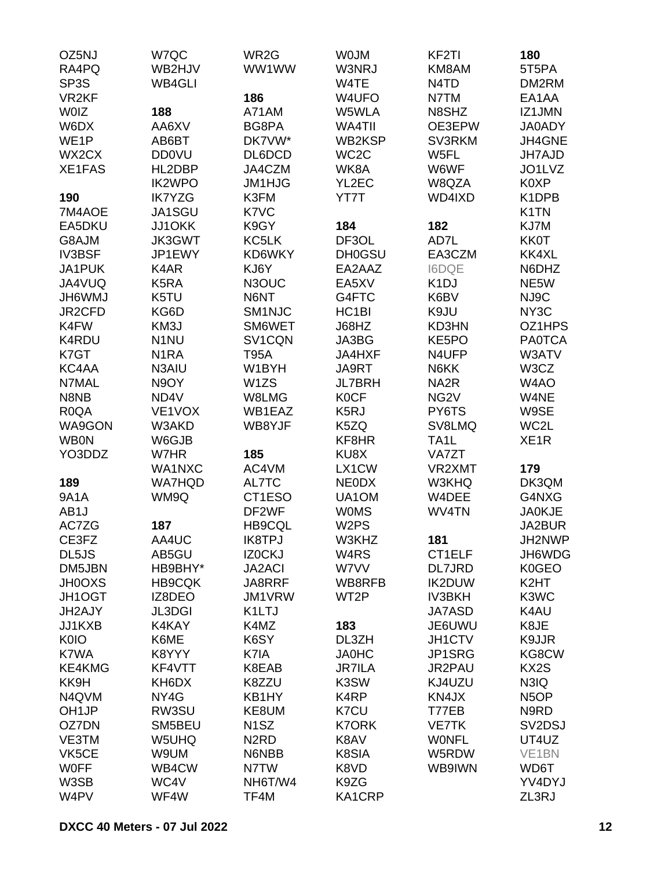| OZ5NJ             | W7QC              | WR2G                          | <b>WOJM</b>        | KF <sub>2</sub> TI            | 180                |
|-------------------|-------------------|-------------------------------|--------------------|-------------------------------|--------------------|
| RA4PQ             | WB2HJV            | WW1WW                         | W3NRJ              | KM8AM                         | 5T5PA              |
| SP <sub>3</sub> S | WB4GLI            |                               | W4TE               | N <sub>4</sub> T <sub>D</sub> | DM2RM              |
| VR <sub>2KF</sub> |                   | 186                           | W4UFO              | N7TM                          | EA1AA              |
| <b>WOIZ</b>       | 188               | A71AM                         | W5WLA              | N8SHZ                         | IZ1JMN             |
| W6DX              | AA6XV             | BG8PA                         | WA4TII             | OE3EPW                        | JA0ADY             |
| WE <sub>1</sub> P | AB6BT             | DK7VW*                        | WB2KSP             | SV3RKM                        | JH4GNE             |
| WX2CX             | <b>DD0VU</b>      | DL6DCD                        | WC <sub>2</sub> C  | W5FL                          | <b>JH7AJD</b>      |
| <b>XE1FAS</b>     | HL2DBP            | JA4CZM                        | WK8A               | W6WF                          | JO1LVZ             |
|                   | <b>IK2WPO</b>     | <b>JM1HJG</b>                 | YL2EC              | W8QZA                         | K0XP               |
| 190               | <b>IK7YZG</b>     | K3FM                          | YT7T               | WD4IXD                        | K <sub>1</sub> DPB |
| 7M4AOE            | JA1SGU            | K7VC                          |                    |                               | K <sub>1</sub> TN  |
| EA5DKU            | JJ1OKK            | K9GY                          | 184                | 182                           | KJ7M               |
|                   |                   | KC5LK                         |                    |                               |                    |
| G8AJM             | <b>JK3GWT</b>     |                               | DF3OL              | AD7L                          | <b>KK0T</b>        |
| <b>IV3BSF</b>     | JP1EWY            | KD6WKY                        | <b>DH0GSU</b>      | EA3CZM                        | KK4XL              |
| JA1PUK            | K4AR              | KJ6Y                          | EA2AAZ             | <b>I6DQE</b>                  | N6DHZ              |
| JA4VUQ            | K <sub>5</sub> RA | N3OUC                         | EA5XV              | K <sub>1</sub> DJ             | NE5W               |
| <b>JH6WMJ</b>     | K5TU              | N6NT                          | G4FTC              | K6BV                          | NJ9C               |
| JR2CFD            | KG6D              | SM1NJC                        | HC <sub>1</sub> BI | K9JU                          | NY <sub>3</sub> C  |
| K4FW              | KM3J              | SM6WET                        | J68HZ              | KD3HN                         | OZ1HPS             |
| K4RDU             | N <sub>1</sub> NU | SV1CQN                        | JA3BG              | KE5PO                         | <b>PA0TCA</b>      |
| K7GT              | N <sub>1</sub> RA | <b>T95A</b>                   | JA4HXF             | N4UFP                         | W3ATV              |
| KC4AA             | N3AIU             | W1BYH                         | JA9RT              | N6KK                          | W3CZ               |
| N7MAL             | N9OY              | W1ZS                          | <b>JL7BRH</b>      | NA <sub>2</sub> R             | W4AO               |
| N8NB              | ND4V              | W8LMG                         | <b>K0CF</b>        | NG <sub>2</sub> V             | W4NE               |
| R <sub>0</sub> QA | VE1VOX            | WB1EAZ                        | K <sub>5</sub> RJ  | PY6TS                         | W9SE               |
| WA9GON            | W3AKD             | WB8YJF                        | K5ZQ               | SV8LMQ                        | WC2L               |
| <b>WB0N</b>       | W6GJB             |                               | KF8HR              | TA <sub>1</sub> L             | XE <sub>1</sub> R  |
| YO3DDZ            | W7HR              | 185                           | KU8X               | VA7ZT                         |                    |
|                   | WA1NXC            | AC4VM                         | LX1CW              | VR2XMT                        | 179                |
| 189               | <b>WA7HQD</b>     | AL7TC                         | <b>NEODX</b>       | W3KHQ                         | DK3QM              |
| <b>9A1A</b>       | WM9Q              | CT1ESO                        | UA1OM              | W4DEE                         | G4NXG              |
| AB1J              |                   | DF2WF                         | <b>WOMS</b>        | WV4TN                         | <b>JA0KJE</b>      |
| AC7ZG             | 187               | <b>HB9CQL</b>                 | W <sub>2</sub> PS  |                               | JA2BUR             |
| CE3FZ             | AA4UC             | <b>IK8TPJ</b>                 | W3KHZ              | 181                           | JH2NWP             |
| DL5JS             | AB5GU             | IZ0CKJ                        | W4RS               | CT1ELF                        | JH6WDG             |
| DM5JBN            | HB9BHY*           | <b>JA2ACI</b>                 | W7VV               | <b>DL7JRD</b>                 | K0GEO              |
| <b>JH0OXS</b>     | <b>HB9CQK</b>     | JA8RRF                        | WB8RFB             | <b>IK2DUW</b>                 | K <sub>2</sub> HT  |
| JH1OGT            | IZ8DEO            | JM1VRW                        | WT <sub>2</sub> P  | <b>IV3BKH</b>                 | K3WC               |
| JH2AJY            | <b>JL3DGI</b>     | K1LTJ                         |                    | <b>JA7ASD</b>                 | K4AU               |
| JJ1KXB            | K4KAY             | K4MZ                          | 183                | JE6UWU                        | K8JE               |
| K0IO              | K6ME              | K6SY                          | DL3ZH              | JH1CTV                        | K9JJR              |
| K7WA              | K8YYY             | K7IA                          | <b>JA0HC</b>       | JP1SRG                        | KG8CW              |
| <b>KE4KMG</b>     | KF4VTT            | K8EAB                         | <b>JR7ILA</b>      | JR2PAU                        | KX <sub>2</sub> S  |
| KK9H              | KH6DX             | K8ZZU                         | K3SW               | KJ4UZU                        | N3IQ               |
| N4QVM             | NY4G              | KB1HY                         | K4RP               | KN4JX                         | N <sub>5</sub> OP  |
| OH <sub>1JP</sub> | RW3SU             | KE8UM                         | K7CU               | T77EB                         | N9RD               |
| OZ7DN             | SM5BEU            | N <sub>1</sub> SZ             | <b>K7ORK</b>       | <b>VE7TK</b>                  | SV2DSJ             |
| VE3TM             | W5UHQ             | N <sub>2</sub> R <sub>D</sub> | K8AV               | <b>WONFL</b>                  | UT4UZ              |
| VK5CE             | W9UM              | N6NBB                         | K8SIA              | W5RDW                         | VE <sub>1</sub> BN |
| <b>WOFF</b>       | WB4CW             | N7TW                          | K8VD               | WB9IWN                        | WD6T               |
| W3SB              | WC4V              | NH6T/W4                       | K9ZG               |                               | YV4DYJ             |
| W4PV              | WF4W              | TF4M                          | KA1CRP             |                               | ZL3RJ              |
|                   |                   |                               |                    |                               |                    |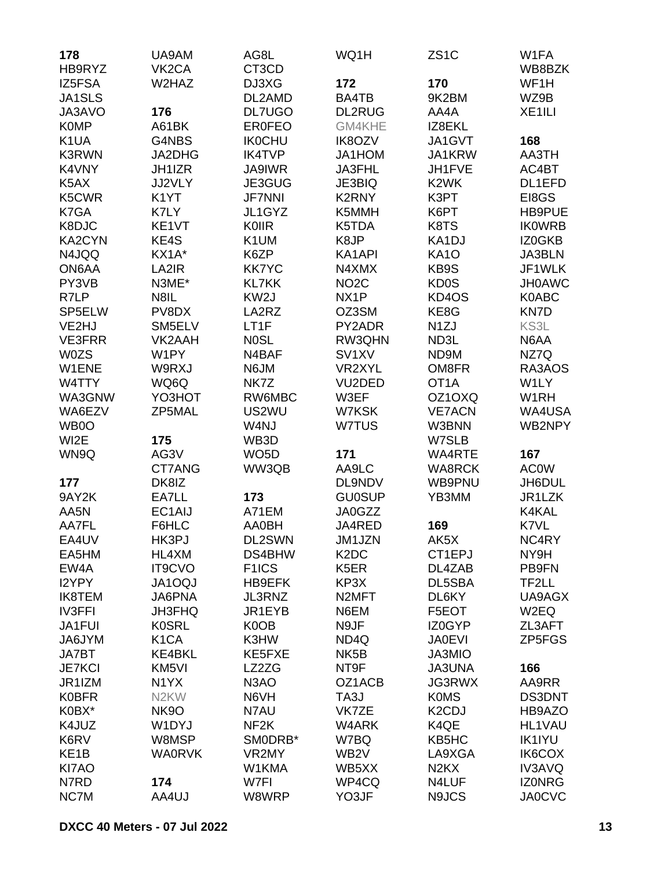| 178               | UA9AM              | AG8L               | WQ1H                          | ZS <sub>1</sub> C               | W1FA               |
|-------------------|--------------------|--------------------|-------------------------------|---------------------------------|--------------------|
| HB9RYZ            | VK <sub>2</sub> CA | CT3CD              |                               |                                 | WB8BZK             |
| IZ5FSA            | W2HAZ              | DJ3XG              | 172                           | 170                             | WF1H               |
| JA1SLS            |                    | DL2AMD             | BA4TB                         | 9K2BM                           | WZ9B               |
| JA3AVO            | 176                | <b>DL7UGO</b>      | <b>DL2RUG</b>                 | AA4A                            | XE <sub>1ILI</sub> |
| <b>K0MP</b>       | A61BK              | <b>ER0FEO</b>      | GM4KHE                        | IZ8EKL                          |                    |
| K <sub>1</sub> UA | G4NBS              | <b>IK0CHU</b>      | <b>IK8OZV</b>                 | JA1GVT                          | 168                |
| <b>K3RWN</b>      | JA2DHG             | <b>IK4TVP</b>      | JA1HOM                        | JA1KRW                          | AA3TH              |
| K4VNY             | JH1IZR             | <b>JA9IWR</b>      | JA3FHL                        | JH1FVE                          | AC4BT              |
| K5AX              | JJ2VLY             | JE3GUG             | JE3BIQ                        | K <sub>2</sub> WK               | DL1EFD             |
| K5CWR             | K <sub>1</sub> YT  | <b>JF7NNI</b>      | K2RNY                         | K3PT                            | EI8GS              |
| K7GA              | K7LY               | JL1GYZ             | K5MMH                         | K6PT                            | HB9PUE             |
| K8DJC             | KE1VT              | <b>K0IIR</b>       | K5TDA                         | K8TS                            | <b>IKOWRB</b>      |
| KA2CYN            | KE4S               | K1UM               | K8JP                          | KA1DJ                           | IZ0GKB             |
| N4JQQ             | KX1A*              | K6ZP               | KA1API                        | <b>KA10</b>                     | <b>JA3BLN</b>      |
| ON6AA             | LA2IR              | <b>KK7YC</b>       | N4XMX                         | KB9S                            | JF1WLK             |
| PY3VB             | N3ME*              | <b>KL7KK</b>       | NO <sub>2</sub> C             | <b>KD0S</b>                     | <b>JH0AWC</b>      |
| R7LP              | N8IL               | KW <sub>2</sub> J  | NX <sub>1</sub> P             | KD4OS                           | K0ABC              |
| SP5ELW            | PV8DX              | LA2RZ              | OZ3SM                         | KE8G                            | KN7D               |
| VE2HJ             | SM5ELV             | LT1F               | PY2ADR                        | N <sub>1</sub> ZJ               | KS3L               |
| <b>VE3FRR</b>     | VK2AAH             | N0SL               | RW3QHN                        | ND3L                            | N6AA               |
| <b>W0ZS</b>       | W1PY               | N4BAF              | SV <sub>1</sub> XV            | ND9M                            | NZ7Q               |
| W1ENE             | W9RXJ              | N6JM               | VR2XYL                        | OM8FR                           | RA3AOS             |
| W4TTY             | WQ6Q               | NK7Z               | VU <sub>2</sub> DED           | OT <sub>1</sub> A               | W1LY               |
| WA3GNW            | YO3HOT             | RW6MBC             | W3EF                          | OZ1OXQ                          | W1RH               |
| WA6EZV            | ZP5MAL             | US2WU              | W7KSK                         | <b>VE7ACN</b>                   | WA4USA             |
| WB0O              |                    | W4NJ               | W7TUS                         | W3BNN                           | WB2NPY             |
| WI2E              | 175                | WB3D               |                               | W7SLB                           |                    |
|                   | AG3V               | WO <sub>5</sub> D  | 171                           | WA4RTE                          | 167                |
| WN9Q              | CT7ANG             | WW3QB              | AA9LC                         | <b>WA8RCK</b>                   | <b>ACOW</b>        |
|                   |                    |                    |                               |                                 |                    |
| 177               | DK8IZ              |                    | DL9NDV                        | WB9PNU                          | JH6DUL             |
| 9AY2K             | EA7LL              | 173                | <b>GU0SUP</b>                 | YB3MM                           | JR1LZK             |
| AA5N              | EC1AIJ             | A71EM              | JA0GZZ                        |                                 | K4KAL              |
| AA7FL             | F6HLC              | <b>AA0BH</b>       | JA4RED                        | 169                             | K7VL               |
| EA4UV             | HK3PJ              | DL2SWN             | JM1JZN                        | AK5X                            | NC4RY              |
| EA5HM             | HL4XM              | DS4BHW             | K <sub>2</sub> D <sub>C</sub> | CT1EPJ                          | NY9H               |
| EW4A              | <b>IT9CVO</b>      | F <sub>1</sub> ICS | K <sub>5</sub> ER             | DL4ZAB                          | PB9FN              |
| I2YPY             | <b>JA1OQJ</b>      | HB9EFK             | KP3X                          | DL5SBA                          | TF2LL              |
| <b>IK8TEM</b>     | JA6PNA             | JL3RNZ             | N <sub>2</sub> MFT            | DL6KY                           | UA9AGX             |
| <b>IV3FFI</b>     | JH3FHQ             | JR1EYB             | N6EM                          | F5EOT                           | W2EQ               |
| JA1FUI            | <b>K0SRL</b>       | K0OB               | N9JF                          | IZ0GYP                          | ZL3AFT             |
| JA6JYM            | K <sub>1</sub> CA  | K3HW               | ND4Q                          | <b>JA0EVI</b>                   | ZP5FGS             |
| JA7BT             | KE4BKL             | KE5FXE             | NK <sub>5</sub> B             | JA3MIO                          |                    |
| <b>JE7KCI</b>     | KM <sub>5VI</sub>  | LZ2ZG              | NT9F                          | <b>JA3UNA</b>                   | 166                |
| JR1IZM            | N <sub>1</sub> YX  | N <sub>3</sub> AO  | OZ1ACB                        | JG3RWX                          | AA9RR              |
| <b>K0BFR</b>      | N <sub>2</sub> KW  | N6VH               | TA3J                          | <b>K0MS</b>                     | DS3DNT             |
| K0BX*             | NK9O               | N7AU               | VK7ZE                         | K <sub>2</sub> C <sub>D</sub> J | HB9AZO             |
| K4JUZ             | W1DYJ              | NF <sub>2</sub> K  | W4ARK                         | K4QE                            | HL1VAU             |
| K6RV              | W8MSP              | SMODRB*            | W7BQ                          | KB5HC                           | <b>IK1IYU</b>      |
| KE <sub>1</sub> B | <b>WA0RVK</b>      | VR2MY              | WB <sub>2</sub> V             | LA9XGA                          | IK6COX             |
| KI7AO             |                    | W1KMA              | WB5XX                         | N <sub>2</sub> K <sub>X</sub>   | <b>IV3AVQ</b>      |
| N7RD              | 174                | W7FI               | WP4CQ                         | N4LUF                           | <b>IZONRG</b>      |
| NC7M              | AA4UJ              | W8WRP              | YO3JF                         | N9JCS                           | <b>JA0CVC</b>      |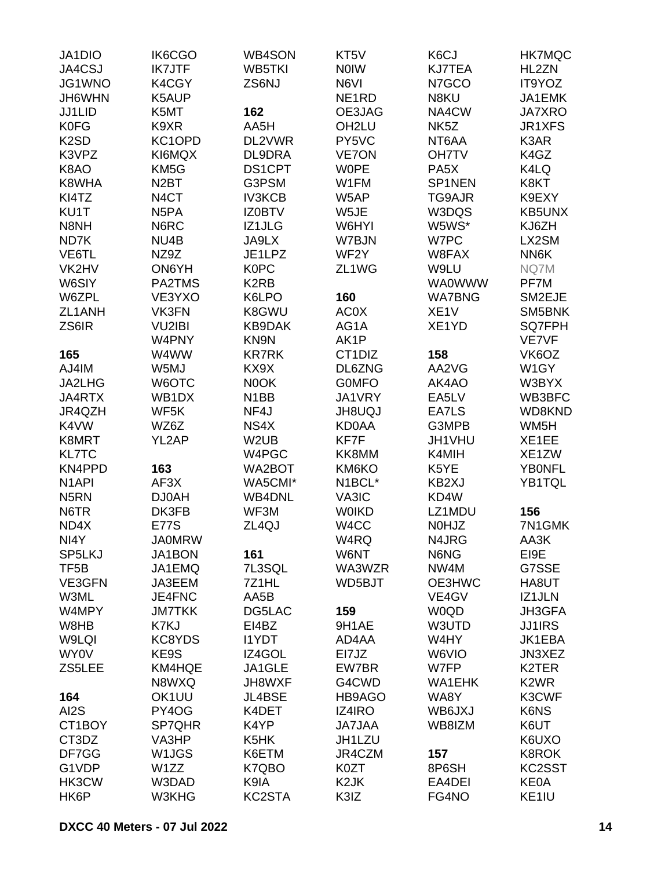| JA1DIO             | IK6CGO            | <b>WB4SON</b>      | KT5V               | K6CJ              | <b>HK7MQC</b>                 |
|--------------------|-------------------|--------------------|--------------------|-------------------|-------------------------------|
| JA4CSJ             | <b>IK7JTF</b>     | WB5TKI             | <b>NOIW</b>        | <b>KJ7TEA</b>     | HL2ZN                         |
| JG1WNO             | K4CGY             | ZS6NJ              | N6VI               | N7GCO             | IT9YOZ                        |
| JH6WHN             | K5AUP             |                    | NE <sub>1</sub> RD | N8KU              | JA1EMK                        |
| JJ1LID             | K5MT              | 162                | OE3JAG             | NA4CW             | <b>JA7XRO</b>                 |
| <b>K0FG</b>        | K9XR              | AA5H               | OH <sub>2LU</sub>  | NK <sub>5</sub> Z | JR1XFS                        |
| K <sub>2</sub> SD  | KC1OPD            | DL2VWR             | PY5VC              | NT6AA             | K3AR                          |
| K3VPZ              | KI6MQX            | DL9DRA             | <b>VE7ON</b>       | <b>OH7TV</b>      | K4GZ                          |
| K8AO               | KM <sub>5</sub> G | <b>DS1CPT</b>      | <b>WOPE</b>        | PA <sub>5</sub> X | K4LQ                          |
| K8WHA              | N <sub>2</sub> BT | G3PSM              | W1FM               | SP1NEN            | K8KT                          |
| KI4TZ              | N <sub>4</sub> CT | <b>IV3KCB</b>      | W5AP               | TG9AJR            | K9EXY                         |
| KU1T               | N <sub>5</sub> PA | <b>IZ0BTV</b>      | W5JE               | W3DQS             | KB5UNX                        |
| N8NH               | N6RC              | IZ1JLG             | W6HYI              | W5WS*             | KJ6ZH                         |
|                    |                   |                    |                    |                   |                               |
| ND7K               | NU4B              | JA9LX              | W7BJN              | W7PC              | LX2SM                         |
| VE6TL              | NZ9Z              | JE1LPZ             | WF <sub>2</sub> Y  | W8FAX             | NN6K                          |
| VK2HV              | ON6YH             | <b>K0PC</b>        | ZL1WG              | W9LU              | NQ7M                          |
| W6SIY              | PA2TMS            | K <sub>2</sub> RB  |                    | <b>WA0WWW</b>     | PF7M                          |
| W6ZPL              | VE3YXO            | K6LPO              | 160                | <b>WA7BNG</b>     | SM2EJE                        |
| ZL1ANH             | VK3FN             | K8GWU              | <b>AC0X</b>        | XE <sub>1</sub> V | SM5BNK                        |
| ZS6IR              | <b>VU2IBI</b>     | <b>KB9DAK</b>      | AG1A               | XE1YD             | SQ7FPH                        |
|                    | W4PNY             | KN9N               | AK1P               |                   | VE7VF                         |
| 165                | W4WW              | <b>KR7RK</b>       | CT1DIZ             | 158               | VK6OZ                         |
| AJ4IM              | W5MJ              | KX9X               | DL6ZNG             | AA2VG             | W1GY                          |
| JA2LHG             | W6OTC             | N0OK               | <b>GOMFO</b>       | AK4AO             | W3BYX                         |
| JA4RTX             | WB1DX             | N <sub>1</sub> BB  | JA1VRY             | EA5LV             | WB3BFC                        |
| JR4QZH             | WF5K              | NF4J               | <b>JH8UQJ</b>      | EA7LS             | WD8KND                        |
| K4VW               | WZ6Z              | NS4X               | <b>KD0AA</b>       | G3MPB             | WM <sub>5</sub> H             |
| K8MRT              | YL2AP             | W <sub>2</sub> UB  | KF7F               | JH1VHU            | XE1EE                         |
| <b>KL7TC</b>       |                   | W4PGC              | KK8MM              | K4MIH             | XE1ZW                         |
| KN4PPD             | 163               | WA2BOT             | KM6KO              | K5YE              | <b>YBONFL</b>                 |
| N <sub>1</sub> API | AF3X              | WA5CMI*            | N1BCL*             | KB2XJ             | YB1TQL                        |
| N <sub>5</sub> RN  | <b>DJ0AH</b>      | WB4DNL             | VA3IC              | KD4W              |                               |
| N6TR               | DK3FB             | WF3M               | <b>WOIKD</b>       | LZ1MDU            | 156                           |
| ND4X               | <b>E77S</b>       | ZL <sub>4Q</sub> J | W <sub>4</sub> CC  | <b>N0HJZ</b>      | 7N1GMK                        |
| NI4Y               | <b>JA0MRW</b>     |                    | W4RQ               | N4JRG             | AA3K                          |
| SP5LKJ             | JA1BON            | 161                | W6NT               | N6NG              | EI9E                          |
| TF <sub>5</sub> B  | JA1EMQ            | 7L3SQL             | WA3WZR             | NW4M              | G7SSE                         |
| VE3GFN             | JA3EEM            | 7Z1HL              | WD5BJT             | OE3HWC            | HA8UT                         |
| W3ML               | JE4FNC            | AA5B               |                    | VE4GV             | IZ1JLN                        |
| W4MPY              | <b>JM7TKK</b>     | DG5LAC             | 159                | <b>W0QD</b>       | <b>JH3GFA</b>                 |
| W8HB               | K7KJ              | EI4BZ              | 9H1AE              | W3UTD             | <b>JJ1IRS</b>                 |
| W9LQI              | KC8YDS            | <b>I1YDT</b>       | AD4AA              | W4HY              | JK1EBA                        |
| WY0V               | KE9S              | IZ4GOL             | EI7JZ              | W6VIO             | JN3XEZ                        |
| ZS5LEE             | KM4HQE            | JA1GLE             | EW7BR              | W7FP              | K <sub>2</sub> TER            |
|                    | N8WXQ             | JH8WXF             | G4CWD              | WA1EHK            | K <sub>2</sub> W <sub>R</sub> |
| 164                | OK1UU             | JL4BSE             | HB9AGO             | WA8Y              | K3CWF                         |
| AI2S               | PY4OG             | K4DET              | IZ4IRO             | WB6JXJ            | K6NS                          |
| CT1BOY             | SP7QHR            | K4YP               | <b>JA7JAA</b>      | WB8IZM            | K6UT                          |
|                    | VA3HP             |                    |                    |                   |                               |
| CT3DZ<br>DF7GG     |                   | K5HK               | JH1LZU<br>JR4CZM   |                   | K6UXO<br><b>K8ROK</b>         |
|                    | W1JGS             | K6ETM              |                    | 157               |                               |
| G1VDP              | W1ZZ              | K7QBO              | K0ZT               | 8P6SH             | KC2SST                        |
| HK3CW              | W3DAD             | K9IA               | K <sub>2</sub> JK  | EA4DEI            | KE0A                          |
| HK6P               | W3KHG             | KC2STA             | K3IZ               | FG4NO             | KE1IU                         |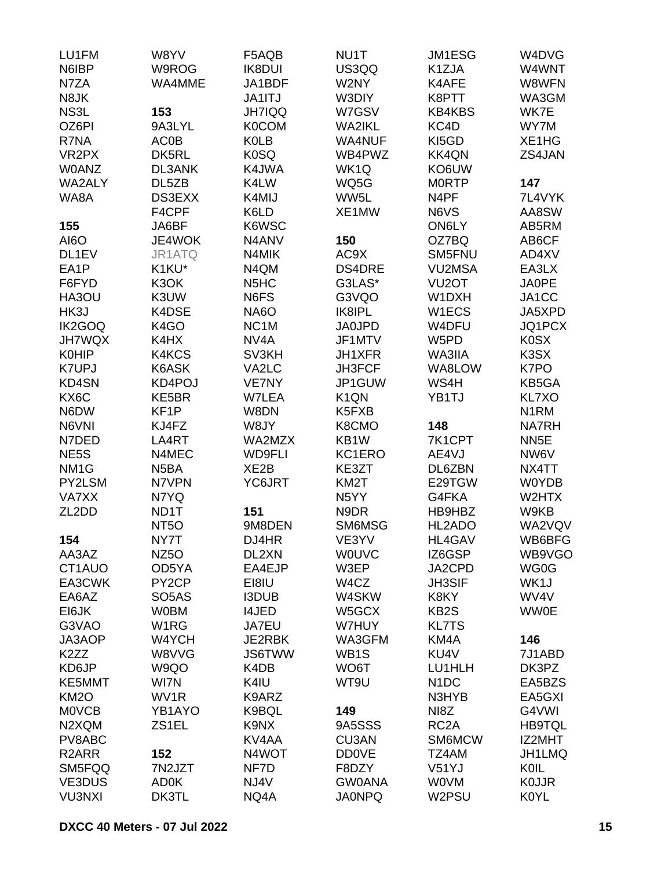| LU1FM              | W8YV                           | F5AQB                          | NU1T              | JM1ESG             | W4DVG             |
|--------------------|--------------------------------|--------------------------------|-------------------|--------------------|-------------------|
| N6IBP              | W9ROG                          | <b>IK8DUI</b>                  | US3QQ             | K1ZJA              | W4WNT             |
| N7ZA               | WA4MME                         | JA1BDF                         | W2NY              | K4AFE              | W8WFN             |
| N8JK               |                                | JA1ITJ                         | W3DIY             | K8PTT              | WA3GM             |
| NS3L               | 153                            | <b>JH7IQQ</b>                  | W7GSV             | <b>KB4KBS</b>      | WK7E              |
| OZ6PI              | 9A3LYL                         | <b>K0COM</b>                   | <b>WA2IKL</b>     | KC4D               | WY7M              |
| R7NA               | <b>AC0B</b>                    | <b>K0LB</b>                    | <b>WA4NUF</b>     | KI5GD              | XE1HG             |
|                    |                                |                                |                   |                    |                   |
| VR <sub>2</sub> PX | DK5RL                          | K0SQ                           | WB4PWZ            | <b>KK4QN</b>       | ZS4JAN            |
| <b>W0ANZ</b>       | <b>DL3ANK</b>                  | K4JWA                          | WK1Q              | KO6UW              |                   |
| WA2ALY             | DL5ZB                          | K4LW                           | WQ5G              | <b>MORTP</b>       | 147               |
| WA8A               | DS3EXX                         | K4MIJ                          | WW5L              | N4PF               | 7L4VYK            |
|                    | F4CPF                          | K6LD                           | XE1MW             | N6VS               | AA8SW             |
| 155                | JA6BF                          | K6WSC                          |                   | ON6LY              | AB5RM             |
| AI6O               | JE4WOK                         | N <sub>4</sub> AN <sub>V</sub> | 150               | OZ7BQ              | AB6CF             |
| DL1EV              | JR1ATQ                         | N4MIK                          | AC9X              | SM5FNU             | AD4XV             |
| EA1P               | K1KU*                          | N4QM                           | <b>DS4DRE</b>     | <b>VU2MSA</b>      | EA3LX             |
| F6FYD              | K <sub>3</sub> OK              | N <sub>5</sub> H <sub>C</sub>  | G3LAS*            | VU <sub>2</sub> OT | JA0PE             |
| HA3OU              | K3UW                           | N6FS                           | G3VQO             | W1DXH              | JA1CC             |
| HK3J               | K4DSE                          | NA6O                           | IK8IPL            | W1ECS              | JA5XPD            |
| IK2GOQ             | K <sub>4</sub> GO              | NC <sub>1</sub> M              | <b>JA0JPD</b>     | W4DFU              | JQ1PCX            |
| <b>JH7WQX</b>      | K4HX                           | NV4A                           | JF1MTV            | W5PD               | K0SX              |
| <b>K0HIP</b>       | K4KCS                          | SV3KH                          | JH1XFR            | WA3IIA             | K3SX              |
| <b>K7UPJ</b>       | K6ASK                          | VA2LC                          | JH3FCF            | WA8LOW             | K7PO              |
| KD4SN              | KD4POJ                         | VE7NY                          | JP1GUW            | WS4H               | KB5GA             |
| KX6C               | KE5BR                          | W7LEA                          | K <sub>1</sub> QN | YB1TJ              | KL7XO             |
| N6DW               | KF <sub>1</sub> P              | W8DN                           | K5FXB             |                    | N <sub>1</sub> RM |
|                    | KJ4FZ                          |                                |                   | 148                |                   |
| N6VNI              |                                | W8JY                           | K8CMO             |                    | <b>NA7RH</b>      |
| N7DED              | LA4RT                          | WA2MZX                         | KB1W              | 7K1CPT             | NN <sub>5</sub> E |
| NE <sub>5</sub> S  | N4MEC                          | <b>WD9FLI</b>                  | KC1ERO            | AE4VJ              | NW6V              |
| NM <sub>1</sub> G  | N <sub>5</sub> BA              | XE2B                           | KE3ZT             | DL6ZBN             | NX4TT             |
| PY2LSM             | N7VPN                          | YC6JRT                         | KM <sub>2</sub> T | E29TGW             | <b>W0YDB</b>      |
| VA7XX              | N7YQ                           |                                | N <sub>5</sub> YY | G4FKA              | W2HTX             |
| ZL <sub>2</sub> DD | ND1T                           | 151                            | N9DR              | HB9HBZ             | W9KB              |
|                    | NT <sub>50</sub>               | 9M8DEN                         | SM6MSG            | HL2ADO             | WA2VQV            |
| 154                | NY7T                           | DJ4HR                          | VE3YV             | HL4GAV             | WB6BFG            |
| AA3AZ              | NZ <sub>50</sub>               | DL2XN                          | <b>WOUVC</b>      | IZ6GSP             | WB9VGO            |
| CT1AUO             | OD5YA                          | EA4EJP                         | W3EP              | JA2CPD             | WG0G              |
| EA3CWK             | PY <sub>2</sub> CP             | EI8IU                          | W4CZ              | <b>JH3SIF</b>      | WK1J              |
| EA6AZ              | SO <sub>5</sub> A <sub>S</sub> | <b>I3DUB</b>                   | W4SKW             | K8KY               | WV4V              |
| EI6JK              | <b>WOBM</b>                    | <b>I4JED</b>                   | W5GCX             | KB <sub>2</sub> S  | <b>WW0E</b>       |
| G3VAO              | W <sub>1</sub> RG              | JA7EU                          | W7HUY             | <b>KL7TS</b>       |                   |
| JA3AOP             | W4YCH                          | JE2RBK                         | WA3GFM            | KM4A               | 146               |
| K <sub>2</sub> ZZ  | W8VVG                          | <b>JS6TWW</b>                  | WB <sub>1</sub> S | KU4V               | 7J1ABD            |
| KD6JP              | W9QO                           | K4DB                           | WO6T              | LU1HLH             | DK3PZ             |
| KE5MMT             | WI7N                           | K4IU                           | WT9U              | N <sub>1</sub> DC  | EA5BZS            |
| KM <sub>2</sub> O  | WV1R                           | K9ARZ                          |                   | N3HYB              | EA5GXI            |
| <b>MOVCB</b>       | YB1AYO                         |                                |                   | NI8Z               | G4VWI             |
|                    |                                | K9BQL                          | 149               |                    |                   |
| N2XQM              | ZS1EL                          | K9NX                           | 9A5SSS            | RC <sub>2</sub> A  | <b>HB9TQL</b>     |
| PV8ABC             |                                | KV4AA                          | CU3AN             | SM6MCW             | IZ2MHT            |
| R <sub>2</sub> ARR | 152                            | N4WOT                          | <b>DD0VE</b>      | TZ4AM              | JH1LMQ            |
| SM5FQQ             | 7N2JZT                         | NF7D                           | F8DZY             | V51YJ              | KOIL              |
| VE3DUS             | <b>AD0K</b>                    | NJ4V                           | <b>GW0ANA</b>     | <b>WOVM</b>        | <b>KOJJR</b>      |
| <b>VU3NXI</b>      | DK3TL                          | NQ4A                           | <b>JA0NPQ</b>     | W2PSU              | <b>K0YL</b>       |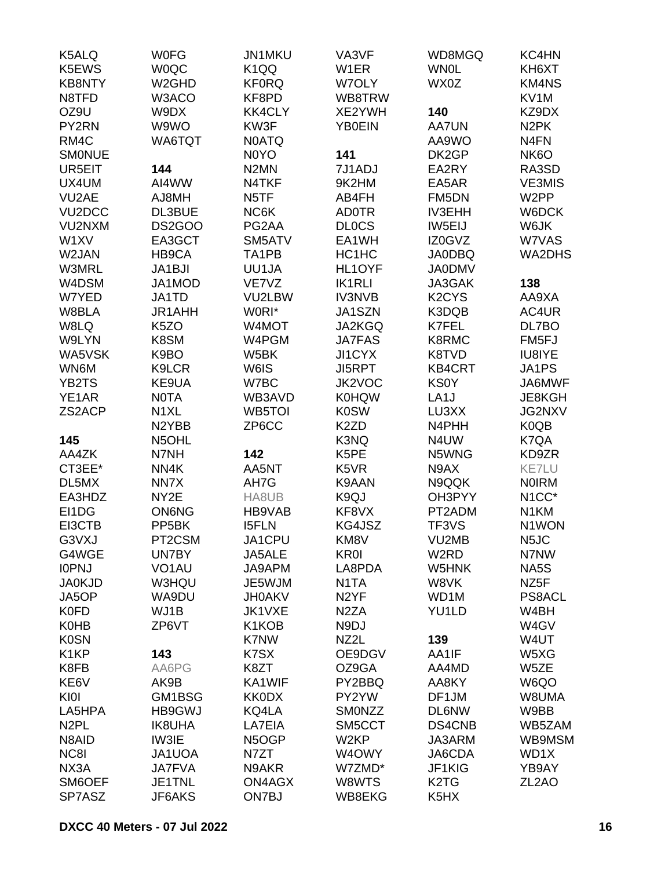| K5ALQ               | <b>WOFG</b>        | JN1MKU            | VA3VF             | WD8MGQ                         | KC4HN              |
|---------------------|--------------------|-------------------|-------------------|--------------------------------|--------------------|
| K5EWS               | <b>WOQC</b>        | K <sub>1QQ</sub>  | W <sub>1</sub> ER | <b>WN0L</b>                    | KH6XT              |
| <b>KB8NTY</b>       | W <sub>2</sub> GHD | <b>KF0RQ</b>      | W7OLY             | WX0Z                           | <b>KM4NS</b>       |
| N8TFD               | W3ACO              | KF8PD             | WB8TRW            |                                | KV1M               |
| OZ9U                | W9DX               | KK4CLY            | XE2YWH            | 140                            | KZ9DX              |
| PY2RN               | W9WO               | KW3F              | YB0EIN            | <b>AA7UN</b>                   | N <sub>2</sub> PK  |
| RM4C                | WA6TQT             | <b>NOATQ</b>      |                   | AA9WO                          | N <sub>4</sub> FN  |
| <b>SMONUE</b>       |                    | N0YO              | 141               | DK2GP                          | NK6O               |
| UR5EIT              | 144                | N <sub>2</sub> MN | 7J1ADJ            | EA2RY                          | RA3SD              |
| UX4UM               | AI4WW              | N4TKF             | 9K2HM             | EA5AR                          | <b>VE3MIS</b>      |
| VU <sub>2</sub> AE  | AJ8MH              | N <sub>5</sub> TF | AB4FH             | FM5DN                          | W <sub>2</sub> PP  |
| VU <sub>2</sub> DCC | DL3BUE             | NC6K              | <b>AD0TR</b>      | <b>IV3EHH</b>                  | W6DCK              |
| VU2NXM              | DS2GOO             | PG2AA             | <b>DLOCS</b>      | IW5EIJ                         | W6JK               |
| W1XV                | EA3GCT             | SM5ATV            | EA1WH             | IZ0GVZ                         | W7VAS              |
| W2JAN               | HB9CA              | TA1PB             | HC1HC             | <b>JA0DBQ</b>                  | <b>WA2DHS</b>      |
| <b>W3MRL</b>        | JA1BJI             | UU1JA             | HL1OYF            | <b>JA0DMV</b>                  |                    |
| W4DSM               | JA1MOD             | VE7VZ             | <b>IK1RLI</b>     | JA3GAK                         | 138                |
| W7YED               | JA1TD              | VU2LBW            | <b>IV3NVB</b>     | K <sub>2</sub> CY <sub>S</sub> | AA9XA              |
| W8BLA               | JR1AHH             | W0RI*             | JA1SZN            | K3DQB                          | AC4UR              |
| W8LQ                | K <sub>5</sub> ZO  | W4MOT             | JA2KGQ            | K7FEL                          |                    |
| W9LYN               | K8SM               | W4PGM             | <b>JA7FAS</b>     | K8RMC                          | DL7BO<br>FM5FJ     |
| WA5VSK              |                    | W5BK              | JI1CYX            |                                |                    |
|                     | K9BO               |                   |                   | K8TVD                          | <b>IU8IYE</b>      |
| WN6M                | K9LCR              | W6IS              | JI5RPT            | <b>KB4CRT</b>                  | JA1PS              |
| YB2TS               | KE9UA              | W7BC              | JK2VOC            | <b>KS0Y</b>                    | JA6MWF             |
| YE1AR               | <b>NOTA</b>        | WB3AVD            | <b>K0HQW</b>      | LA <sub>1</sub> J              | JE8KGH             |
| ZS2ACP              | N <sub>1</sub> XL  | WB5TOI            | <b>K0SW</b>       | LU3XX                          | JG2NXV             |
|                     | N <sub>2</sub> YBB | ZP6CC             | K <sub>2</sub> ZD | N4PHH                          | K <sub>0</sub> QB  |
| 145                 | N5OHL              |                   | K3NQ              | N4UW                           | K7QA               |
| AA4ZK               | N7NH               | 142               | K5PE              | N5WNG                          | KD9ZR              |
| CT3EE*              | NN4K               | AA5NT             | K5VR              | N9AX                           | <b>KE7LU</b>       |
| DL5MX               | NN7X               | AH7G              | K9AAN             | N9QQK                          | <b>NOIRM</b>       |
| EA3HDZ              | NY <sub>2</sub> E  | HA8UB             | K9QJ              | OH3PYY                         | N <sub>1</sub> CC* |
| EI1DG               | <b>ON6NG</b>       | HB9VAB            | KF8VX             | PT2ADM                         | N <sub>1</sub> KM  |
| EI3CTB              | PP <sub>5</sub> BK | <b>I5FLN</b>      | KG4JSZ            | TF3VS                          | N1WON              |
| G3VXJ               | PT2CSM             | JA1CPU            | KM8V              | VU2MB                          | N <sub>5</sub> JC  |
| G4WGE               | UN7BY              | JA5ALE            | <b>KR0I</b>       | W <sub>2</sub> RD              | N7NW               |
| <b>IOPNJ</b>        | VO <sub>1</sub> AU | JA9APM            | LA8PDA            | W5HNK                          | NA5S               |
| <b>JA0KJD</b>       | W3HQU              | JE5WJM            | N <sub>1</sub> TA | W8VK                           | NZ5F               |
| JA5OP               | WA9DU              | <b>JH0AKV</b>     | N <sub>2</sub> YF | WD1M                           | <b>PS8ACL</b>      |
| <b>K0FD</b>         | WJ1B               | JK1VXE            | N <sub>2</sub> ZA | YU1LD                          | W4BH               |
| <b>K0HB</b>         | ZP6VT              | K1KOB             | N9DJ              |                                | W4GV               |
| <b>K0SN</b>         |                    | K7NW              | NZ2L              | 139                            | W4UT               |
| K <sub>1</sub> KP   | 143                | K7SX              | OE9DGV            | AA1IF                          | W5XG               |
| K8FB                | AA6PG              | K8ZT              | OZ9GA             | AA4MD                          | W5ZE               |
| KE6V                | AK9B               | KA1WIF            | PY2BBQ            | AA8KY                          | W6QO               |
| KI0I                | GM1BSG             | <b>KK0DX</b>      | PY2YW             | DF1JM                          | W8UMA              |
| LA5HPA              | HB9GWJ             | KQ4LA             | SMONZZ            | <b>DL6NW</b>                   | W9BB               |
| N <sub>2</sub> PL   | <b>IK8UHA</b>      | LA7EIA            | SM5CCT            | DS4CNB                         | WB5ZAM             |
| N8AID               | IW3IE              | N5OGP             | W <sub>2</sub> KP | JA3ARM                         | WB9MSM             |
| NC8I                | JA1UOA             | N7ZT              | W4OWY             | JA6CDA                         | WD1X               |
| NX3A                | <b>JA7FVA</b>      | N9AKR             | W7ZMD*            | JF1KIG                         | YB9AY              |
| SM6OEF              | JE1TNL             | <b>ON4AGX</b>     | W8WTS             | K <sub>2</sub> T <sub>G</sub>  | ZL <sub>2</sub> AO |
| SP7ASZ              | JF6AKS             | ON7BJ             | WB8EKG            | K <sub>5</sub> H <sub>X</sub>  |                    |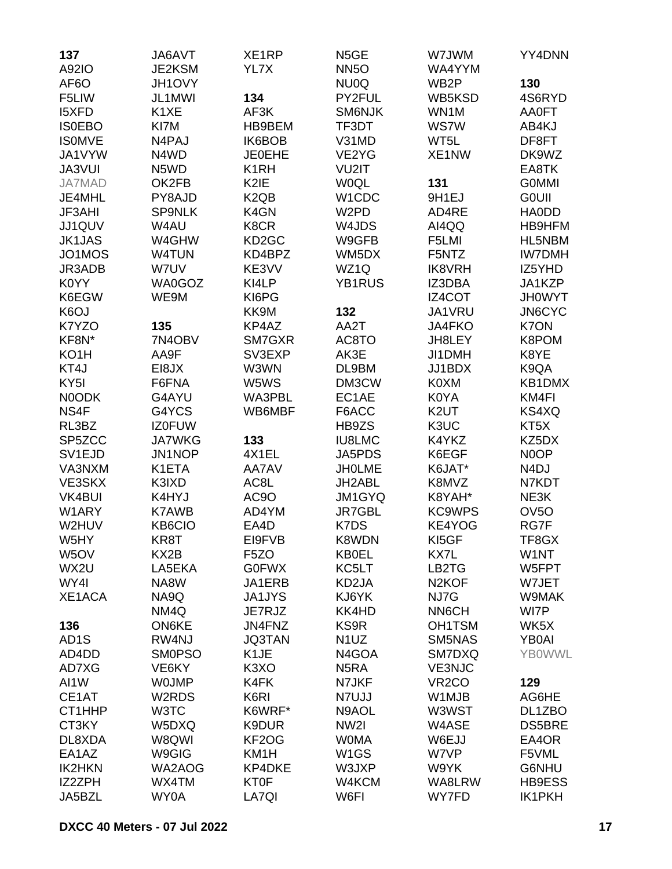| 137               | JA6AVT        | XE1RP                         | N <sub>5</sub> GE  | W7JWM              | YY4DNN            |
|-------------------|---------------|-------------------------------|--------------------|--------------------|-------------------|
| A92IO             | JE2KSM        | YL7X                          | <b>NN5O</b>        | WA4YYM             |                   |
| AF <sub>6</sub> O | JH1OVY        |                               | NU0Q               | WB <sub>2</sub> P  | 130               |
| F5LIW             | JL1MWI        | 134                           | PY2FUL             | WB5KSD             | 4S6RYD            |
| <b>I5XFD</b>      | K1XE          | AF3K                          | SM6NJK             | WN1M               | <b>AA0FT</b>      |
| <b>ISOEBO</b>     | KI7M          | HB9BEM                        | TF3DT              | <b>WS7W</b>        | AB4KJ             |
| <b>ISOMVE</b>     | N4PAJ         | IK6BOB                        | V31MD              | WT5L               | DF8FT             |
| JA1VYW            | N4WD          | <b>JE0EHE</b>                 | VE2YG              | XE1NW              | DK9WZ             |
| JA3VUI            | N5WD          | K <sub>1</sub> RH             | VU2IT              |                    | EA8TK             |
| <b>JA7MAD</b>     | OK2FB         | K <sub>2</sub> IE             | <b>WOQL</b>        | 131                | <b>GOMMI</b>      |
| JE4MHL            | PY8AJD        | K <sub>2</sub> Q <sub>B</sub> | W1CDC              | 9H1EJ              | <b>GOUII</b>      |
| JF3AHI            | <b>SP9NLK</b> | K4GN                          | W <sub>2</sub> PD  | AD4RE              | <b>HAODD</b>      |
| JJ1QUV            | W4AU          | K8CR                          | W4JDS              | AI4QQ              | HB9HFM            |
| <b>JK1JAS</b>     | W4GHW         | KD <sub>2</sub> GC            | W9GFB              | F5LMI              | HL5NBM            |
| JO1MOS            | <b>W4TUN</b>  | KD4BPZ                        | WM5DX              | F5NTZ              | <b>IW7DMH</b>     |
| JR3ADB            | W7UV          | KE3VV                         | WZ1Q               | <b>IK8VRH</b>      | IZ5YHD            |
| K0YY              | <b>WA0GOZ</b> | KI4LP                         | <b>YB1RUS</b>      | IZ3DBA             | JA1KZP            |
| K6EGW             | WE9M          | KI6PG                         |                    | IZ4COT             | <b>JH0WYT</b>     |
| K <sub>6</sub> OJ |               | KK9M                          | 132                | JA1VRU             | <b>JN6CYC</b>     |
| K7YZO             | 135           | KP4AZ                         | AA2T               | <b>JA4FKO</b>      | <b>K7ON</b>       |
| KF8N*             | 7N4OBV        | SM7GXR                        | AC8TO              | JH8LEY             | K8POM             |
| KO <sub>1</sub> H | AA9F          | SV3EXP                        | AK3E               | JI1DMH             | K8YE              |
| KT4J              | EI8JX         | W3WN                          | DL9BM              | JJ1BDX             | K9QA              |
| KY <sub>5</sub> I | F6FNA         | W5WS                          | DM3CW              | K0XM               | KB1DMX            |
| N0ODK             | G4AYU         | WA3PBL                        | EC1AE              | K0YA               | KM4FI             |
| NS4F              | G4YCS         | WB6MBF                        | F6ACC              | K <sub>2</sub> UT  | KS4XQ             |
| RL3BZ             | <b>IZ0FUW</b> |                               | HB9ZS              | K3UC               | KT5X              |
| SP5ZCC            | <b>JA7WKG</b> | 133                           | <b>IU8LMC</b>      | K4YKZ              | KZ5DX             |
| SV1EJD            | JN1NOP        | 4X1EL                         | JA5PDS             | K6EGF              | N0OP              |
| VA3NXM            | K1ETA         | AA7AV                         | <b>JHOLME</b>      | K6JAT*             | N <sub>4</sub> DJ |
| VE3SKX            | K3IXD         | AC8L                          | JH2ABL             | K8MVZ              | N7KDT             |
| <b>VK4BUI</b>     | K4HYJ         | AC9O                          | JM1GYQ             | K8YAH*             | NE3K              |
| W1ARY             | K7AWB         | AD4YM                         | <b>JR7GBL</b>      | <b>KC9WPS</b>      | OV <sub>5</sub> O |
| W2HUV             | <b>KB6CIO</b> | EA4D                          | K7DS               | KE4YOG             | RG7F              |
| W5HY              | KR8T          | EI9FVB                        | K8WDN              | KI5GF              | TF8GX             |
| W <sub>5</sub> OV | KX2B          | F <sub>5</sub> ZO             | <b>KB0EL</b>       | KX7L               | W1NT              |
| WX2U              | LA5EKA        | <b>G0FWX</b>                  | KC5LT              | LB2TG              | W5FPT             |
| WY4I              | NA8W          | JA1ERB                        | KD <sub>2</sub> JA | N <sub>2</sub> KOF | W7JET             |
| XE1ACA            | NA9Q          | <b>JA1JYS</b>                 | KJ6YK              | NJ7G               | W9MAK             |
|                   | NM4Q          | JE7RJZ                        | KK4HD              | NN6CH              | WI7P              |
| 136               | <b>ON6KE</b>  | JN4FNZ                        | KS9R               | OH1TSM             | WK5X              |
| AD <sub>1</sub> S | RW4NJ         | <b>JQ3TAN</b>                 | N <sub>1</sub> UZ  | SM5NAS             | <b>YB0AI</b>      |
| AD4DD             | <b>SM0PSO</b> | K <sub>1</sub> JE             | N4GOA              | SM7DXQ             | <b>YB0WWL</b>     |
| AD7XG             | VE6KY         | K <sub>3</sub> XO             | N <sub>5</sub> RA  | <b>VE3NJC</b>      |                   |
| AI1W              | <b>WOJMP</b>  | K4FK                          | N7JKF              | VR <sub>2</sub> CO | 129               |
| CE1AT             | W2RDS         | K6RI                          | N7UJJ              | W1MJB              | AG6HE             |
| CT1HHP            | W3TC          | K6WRF*                        | N9AOL              | W3WST              | DL1ZBO            |
| CT3KY             | W5DXQ         | K9DUR                         | NW <sub>2</sub>    | W4ASE              | DS5BRE            |
| DL8XDA            | W8QWI         | KF <sub>2</sub> OG            | <b>WOMA</b>        | W6EJJ              | EA4OR             |
| EA1AZ             | W9GIG         | KM <sub>1</sub> H             | W <sub>1</sub> GS  | W7VP               | F5VML             |
| <b>IK2HKN</b>     | WA2AOG        | <b>KP4DKE</b>                 | W3JXP              | W9YK               | G6NHU             |
| IZ2ZPH            | WX4TM         | <b>KT0F</b>                   | W4KCM              | WA8LRW             | HB9ESS            |
| JA5BZL            | WY0A          | LA7QI                         | W6FI               | WY7FD              | <b>IK1PKH</b>     |
|                   |               |                               |                    |                    |                   |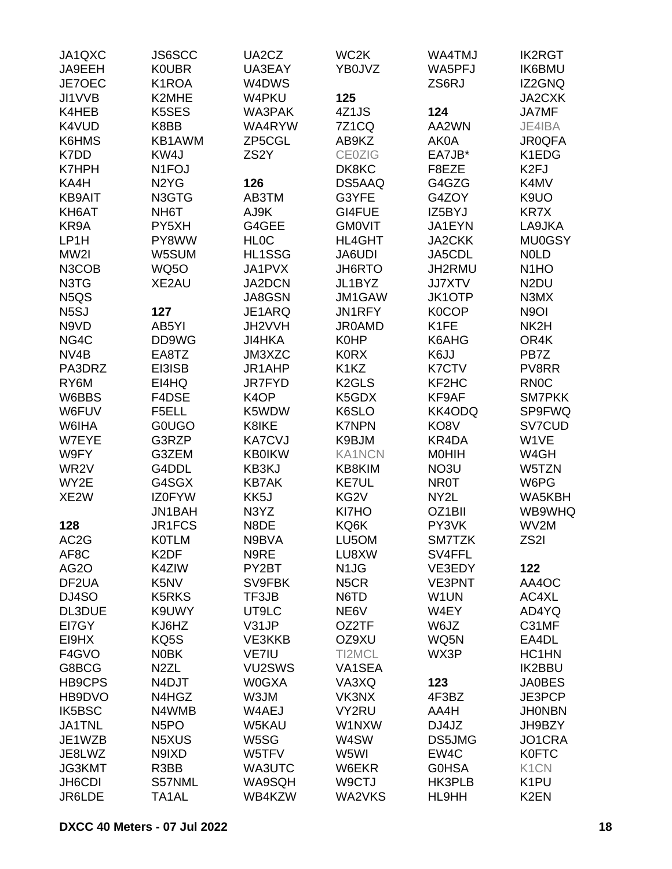| JA1QXC<br>JA9EEH<br>JE7OEC    | JS6SCC<br><b>KOUBR</b><br>K <sub>1</sub> ROA | UA2CZ<br>UA3EAY<br>W4DWS | WC <sub>2</sub> K<br>YB0JVZ | WA4TMJ<br>WA5PFJ<br>ZS6RJ | <b>IK2RGT</b><br><b>IK6BMU</b><br>IZ2GNQ |
|-------------------------------|----------------------------------------------|--------------------------|-----------------------------|---------------------------|------------------------------------------|
| JI1VVB                        | K2MHE                                        | W4PKU                    | 125                         |                           | JA2CXK                                   |
| K4HEB                         | K5SES                                        | WA3PAK                   | 4Z1JS                       | 124                       | JA7MF                                    |
| K4VUD                         | K8BB                                         | WA4RYW                   | <b>7Z1CQ</b>                | AA2WN                     | JE4IBA                                   |
| K6HMS                         | KB1AWM                                       | ZP5CGL                   | AB9KZ                       | AK0A                      | <b>JR0QFA</b>                            |
| K7DD                          | KW4J                                         | ZS <sub>2</sub> Y        | <b>CE0ZIG</b>               | EA7JB*                    | K1EDG                                    |
| <b>K7HPH</b>                  | N <sub>1</sub> FOJ                           |                          | DK8KC                       | F8EZE                     | K <sub>2FJ</sub>                         |
| KA4H                          | N <sub>2</sub> Y <sub>G</sub>                | 126                      | DS5AAQ                      | G4GZG                     | K4MV                                     |
| <b>KB9AIT</b>                 | N3GTG                                        | AB3TM                    | G3YFE                       | G4ZOY                     | K9UO                                     |
| KH6AT                         | NH <sub>6</sub> T                            | AJ9K                     | GI4FUE                      | IZ5BYJ                    | KR7X                                     |
| KR9A                          | PY5XH                                        | G4GEE                    | <b>GMOVIT</b>               | JA1EYN                    | LA9JKA                                   |
| LP1H                          | PY8WW                                        | <b>HLOC</b>              | <b>HL4GHT</b>               | <b>JA2CKK</b>             | <b>MU0GSY</b>                            |
| MW2I                          | W5SUM                                        | HL1SSG                   | JA6UDI                      | JA5CDL                    | <b>NOLD</b>                              |
| N3COB                         | <b>WQ50</b>                                  | JA1PVX                   | <b>JH6RTO</b>               | JH2RMU                    | N <sub>1</sub> H <sub>O</sub>            |
| N3TG                          | XE2AU                                        | JA2DCN                   | JL1BYZ                      | <b>JJ7XTV</b>             | N <sub>2</sub> DU                        |
| N <sub>5</sub> Q <sub>S</sub> |                                              | JA8GSN                   | JM1GAW                      | <b>JK1OTP</b>             | N3MX                                     |
| N <sub>5</sub> SJ             | 127                                          | JE1ARQ                   | JN1RFY                      | <b>K0COP</b>              | N <sub>9</sub> OI                        |
| N9VD                          | AB5YI                                        | JH2VVH                   | <b>JR0AMD</b>               | K1FE                      | NK2H                                     |
| NG4C                          | DD9WG                                        | <b>JI4HKA</b>            | K0HP                        | K6AHG                     | OR4K                                     |
| NV4B                          | EA8TZ                                        | JM3XZC                   | <b>K0RX</b>                 | K6JJ                      | PB7Z                                     |
| PA3DRZ                        | EI3ISB                                       | JR1AHP                   | K1KZ                        | <b>K7CTV</b>              | PV8RR                                    |
| RY6M                          | EI4HQ                                        | <b>JR7FYD</b>            | K <sub>2</sub> GLS          | KF2HC                     | <b>RN0C</b>                              |
| W6BBS                         | F4DSE                                        | K <sub>4</sub> OP        | K5GDX                       | KF9AF                     | <b>SM7PKK</b>                            |
| W6FUV                         | F5ELL                                        | K5WDW                    | K6SLO                       | KK4ODQ                    | <b>SP9FWQ</b>                            |
| W6IHA                         | <b>GOUGO</b>                                 | K8IKE                    | <b>K7NPN</b>                | KO8V                      | SV7CUD                                   |
| W7EYE                         | G3RZP                                        | <b>KA7CVJ</b>            | K9BJM                       | KR4DA                     | W1VE                                     |
| W9FY                          | G3ZEM                                        | <b>KB0IKW</b>            | <b>KA1NCN</b>               | <b>MOHIH</b>              | W4GH                                     |
| WR2V                          | G4DDL                                        | KB3KJ                    | KB8KIM                      | NO3U                      | W5TZN                                    |
| WY2E                          | G4SGX                                        | <b>KB7AK</b>             | <b>KE7UL</b>                | <b>NR0T</b>               | W6PG                                     |
| XE <sub>2</sub> W             | <b>IZ0FYW</b>                                | KK5J                     | KG2V                        | NY2L                      | WA5KBH                                   |
|                               | JN1BAH                                       | N3YZ                     | KI7HO                       | OZ1BII                    | WB9WHQ                                   |
| 128                           | JR1FCS                                       | N8DE                     | KQ6K                        | PY3VK                     | WV2M                                     |
| AC <sub>2</sub> G             | <b>KOTLM</b>                                 | N9BVA                    | LU5OM                       | SM7TZK                    | ZS2I                                     |
| AF8C                          | K <sub>2</sub> DF                            | N9RE                     | LU8XW                       | SV4FFL                    |                                          |
| AG <sub>2</sub> O             | K4ZIW                                        | PY2BT                    | N <sub>1</sub> JG           | VE3EDY                    | 122                                      |
| DF <sub>2</sub> UA            | K5NV                                         | SV9FBK                   | N <sub>5</sub> CR           | VE3PNT                    | AA4OC                                    |
| DJ4SO                         | <b>K5RKS</b>                                 | TF3JB                    | N6TD                        | W1UN                      | AC4XL                                    |
| DL3DUE                        | K9UWY                                        | UT9LC                    | NE6V                        | W4EY                      | AD4YQ                                    |
| EI7GY                         | KJ6HZ                                        | V31JP                    | OZ2TF                       | W6JZ                      | C31MF                                    |
| EI9HX                         | KQ5S                                         | VE3KKB                   | OZ9XU                       | WQ5N                      | EA4DL                                    |
| F4GVO                         | <b>NOBK</b>                                  | <b>VE7IU</b>             | TI2MCL                      | WX3P                      | HC1HN                                    |
| G8BCG                         | N <sub>2</sub> ZL                            | VU2SWS                   | VA1SEA                      |                           | <b>IK2BBU</b>                            |
| HB9CPS                        | N4DJT                                        | <b>W0GXA</b>             | VA3XQ                       | 123                       | <b>JA0BES</b>                            |
| HB9DVO                        | N4HGZ                                        | W3JM                     | VK3NX                       | 4F3BZ                     | JE3PCP                                   |
| IK5BSC                        | N4WMB                                        | W4AEJ                    | VY2RU                       | AA4H                      | <b>JHONBN</b>                            |
| <b>JA1TNL</b>                 | N <sub>5</sub> PO                            | <b>W5KAU</b>             | W1NXW                       | DJ4JZ                     | JH9BZY                                   |
| JE1WZB                        | N5XUS                                        | W5SG                     | W4SW                        | DS5JMG                    | JO1CRA                                   |
| JE8LWZ                        | N9IXD                                        | W5TFV                    | W5WI                        | EW4C                      | <b>K0FTC</b>                             |
| JG3KMT                        | R3BB                                         | WA3UTC                   | W6EKR                       | <b>GOHSA</b>              | K <sub>1</sub> CN                        |
| JH6CDI                        | S57NML                                       | WA9SQH                   | W9CTJ                       | HK3PLB                    | K <sub>1</sub> PU                        |
| JR6LDE                        | TA1AL                                        | WB4KZW                   | WA2VKS                      | HL9HH                     | K <sub>2</sub> EN                        |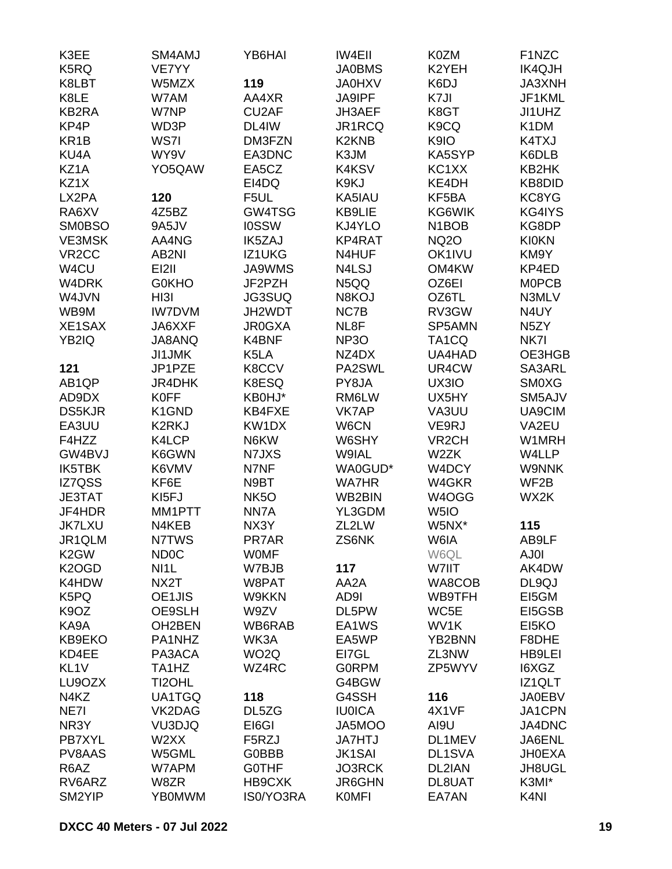| K3EE               | SM4AMJ            | YB6HAI            | <b>IW4EII</b>                  | K0ZM                           | F1NZC             |
|--------------------|-------------------|-------------------|--------------------------------|--------------------------------|-------------------|
| K5RQ               | VE7YY             |                   | <b>JA0BMS</b>                  | K2YEH                          | <b>IK4QJH</b>     |
| K8LBT              | W5MZX             | 119               | <b>JA0HXV</b>                  | K6DJ                           | JA3XNH            |
| K8LE               | W7AM              | AA4XR             | <b>JA9IPF</b>                  | K7JI                           | JF1KML            |
| KB2RA              | W7NP              | CU2AF             | JH3AEF                         | K8GT                           | JI1UHZ            |
| KP4P               | WD3P              | DL4IW             | JR1RCQ                         | K9CQ                           | K <sub>1</sub> DM |
| KR <sub>1</sub> B  | WS7I              | DM3FZN            | K <sub>2</sub> KN <sub>B</sub> | K9IO                           | K4TXJ             |
| KU4A               | WY9V              | EA3DNC            | K3JM                           | KA5SYP                         | K6DLB             |
| KZ1A               | YO5QAW            | EA5CZ             | K4KSV                          | KC1XX                          | KB2HK             |
| KZ1X               |                   | EI4DQ             | K9KJ                           | KE4DH                          | KB8DID            |
| LX2PA              | 120               | F5UL              | KA5IAU                         | KF5BA                          | KC8YG             |
| RA6XV              | 4Z5BZ             | GW4TSG            | KB9LIE                         | KG6WIK                         | KG4IYS            |
| <b>SM0BSO</b>      | 9A5JV             | <b>IOSSW</b>      | KJ4YLO                         | N <sub>1</sub> BO <sub>B</sub> | KG8DP             |
| <b>VE3MSK</b>      | AA4NG             | IK5ZAJ            | KP4RAT                         | <b>NQ2O</b>                    | <b>KI0KN</b>      |
| VR <sub>2</sub> CC | AB2NI             | IZ1UKG            | N4HUF                          | OK1IVU                         | KM9Y              |
| W4CU               | EI2II             | <b>JA9WMS</b>     | N4LSJ                          | OM4KW                          | KP4ED             |
| W4DRK              | <b>G0KHO</b>      | JF2PZH            | N5QQ                           | OZ6EI                          | <b>MOPCB</b>      |
| W4JVN              | HI3I              | <b>JG3SUQ</b>     | N8KOJ                          | OZ6TL                          | N3MLV             |
| WB9M               | <b>IW7DVM</b>     | JH2WDT            | NC7B                           | RV3GW                          | N4UY              |
| XE1SAX             | JA6XXF            | <b>JR0GXA</b>     | NL8F                           | SP5AMN                         | N <sub>5</sub> ZY |
| YB2IQ              | JA8ANQ            | K4BNF             | NP <sub>3</sub> O              | TA <sub>1</sub> CQ             | NK7I              |
|                    | <b>JI1JMK</b>     | K5LA              | NZ4DX                          | UA4HAD                         | OE3HGB            |
| 121                | JP1PZE            | K8CCV             | PA2SWL                         | UR4CW                          | SA3ARL            |
| AB1QP              | <b>JR4DHK</b>     | K8ESQ             | PY8JA                          | UX3IO                          | <b>SM0XG</b>      |
| AD9DX              | <b>K0FF</b>       | KB0HJ*            | RM6LW                          | UX5HY                          | SM5AJV            |
| <b>DS5KJR</b>      | K1GND             | KB4FXE            | <b>VK7AP</b>                   | VA3UU                          | UA9CIM            |
| EA3UU              | <b>K2RKJ</b>      | KW1DX             | W6CN                           | VE9RJ                          | VA2EU             |
| F4HZZ              | K4LCP             | N6KW              | W6SHY                          | VR <sub>2</sub> CH             | W1MRH             |
| GW4BVJ             | K6GWN             | N7JXS             | W9IAL                          | W2ZK                           | W4LLP             |
| IK5TBK             | K6VMV             | N7NF              | WA0GUD*                        | W4DCY                          | <b>W9NNK</b>      |
| IZ7QSS             | KF6E              | N9BT              | <b>WA7HR</b>                   | W4GKR                          | WF <sub>2</sub> B |
| <b>JE3TAT</b>      | KI <sub>5FJ</sub> | NK <sub>5</sub> O | WB2BIN                         | W4OGG                          | WX2K              |
| JF4HDR             | MM1PTT            | NN7A              | YL3GDM                         | W <sub>5I</sub> O              |                   |
| <b>JK7LXU</b>      | N4KEB             | NX3Y              | ZL2LW                          | W5NX*                          | 115               |
| JR1QLM             | N7TWS             | PR7AR             | ZS6NK                          | W6IA                           | AB9LF             |
| K <sub>2</sub> GW  | <b>ND0C</b>       | <b>WOMF</b>       |                                | W6QL                           | AJ0I              |
| K <sub>2</sub> OGD | NI <sub>1</sub>   | W7BJB             | 117                            | W7IIT                          | AK4DW             |
| K4HDW              | NX2T              | W8PAT             | AA2A                           | WA8COB                         | DL9QJ             |
| K5PQ               | OE1JIS            | W9KKN             | AD9I                           | WB9TFH                         | EI5GM             |
| K <sub>9</sub> OZ  | OE9SLH            | W9ZV              | DL5PW                          | WC5E                           | EI5GSB            |
| KA9A               | OH2BEN            | WB6RAB            | EA1WS                          | WV1K                           | EI5KO             |
| KB9EKO             | PA1NHZ            | WK3A              | EA5WP                          | YB2BNN                         | F8DHE             |
| KD4EE              | PA3ACA            | WO <sub>2</sub> Q | EI7GL                          | ZL3NW                          | HB9LEI            |
| KL <sub>1V</sub>   | TA1HZ             | WZ4RC             | <b>GORPM</b>                   | ZP5WYV                         | I6XGZ             |
| LU9OZX             | TI2OHL            |                   | G4BGW                          |                                | IZ1QLT            |
| N4KZ               | UA1TGQ            | 118               | G4SSH                          | 116                            | <b>JA0EBV</b>     |
| NE7I               | VK2DAG            | DL5ZG             | <b>IU0ICA</b>                  | 4X1VF                          | JA1CPN            |
| NR3Y               | VU3DJQ            | EI6GI             | JA5MOO                         | AI9U                           | JA4DNC            |
| PB7XYL             | W2XX              | F5RZJ             | <b>JA7HTJ</b>                  | DL1MEV                         | JA6ENL            |
| PV8AAS             | W5GML             | <b>G0BBB</b>      | <b>JK1SAI</b>                  | DL1SVA                         | <b>JH0EXA</b>     |
| R6AZ               | W7APM             | <b>GOTHF</b>      | JO3RCK                         | DL2IAN                         | JH8UGL            |
| RV6ARZ             | W8ZR              | HB9CXK            | <b>JR6GHN</b>                  | DL8UAT                         | K3MI*             |
| SM2YIP             | <b>YB0MWM</b>     | IS0/YO3RA         | <b>KOMFI</b>                   | EA7AN                          | K <sub>4N</sub>   |
|                    |                   |                   |                                |                                |                   |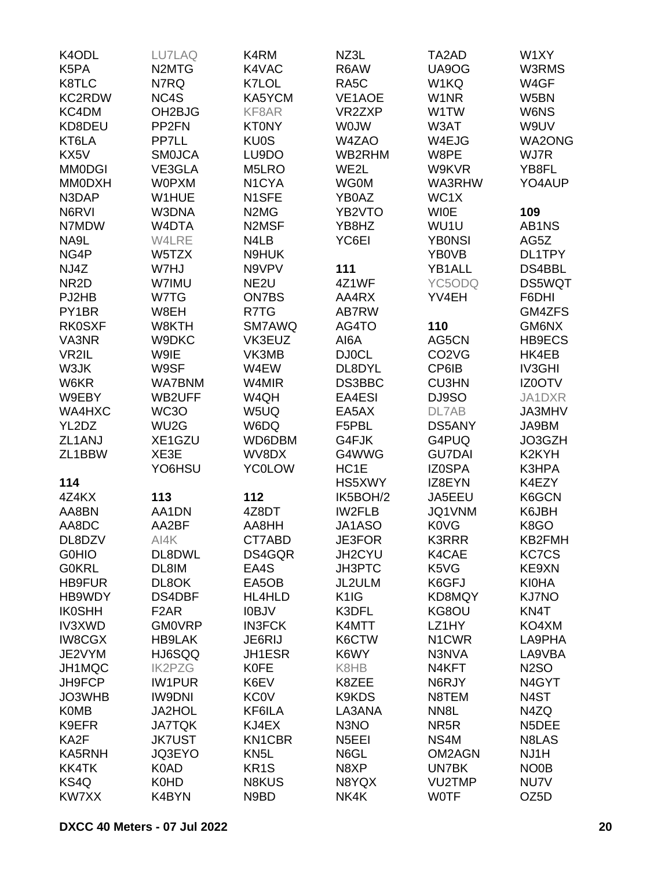| K4ODL             | LU7LAQ                         | K4RM                          | NZ3L                          | TA2AD                          | W1XY               |
|-------------------|--------------------------------|-------------------------------|-------------------------------|--------------------------------|--------------------|
| K5PA              | N <sub>2</sub> M <sub>TG</sub> | K4VAC                         | R6AW                          | UA9OG                          | W3RMS              |
| K8TLC             | N7RQ                           | K7LOL                         | RA <sub>5</sub> C             | W1KQ                           | W4GF               |
| <b>KC2RDW</b>     | NC4S                           | KA5YCM                        | VE1AOE                        | W <sub>1</sub> NR              | W5BN               |
| KC4DM             | OH <sub>2</sub> BJG            | KF8AR                         | VR2ZXP                        | W1TW                           | W6NS               |
| KD8DEU            | PP <sub>2FN</sub>              | <b>KT0NY</b>                  | <b>WOJW</b>                   | W3AT                           | W9UV               |
| KT6LA             | PP7LL                          | <b>KU0S</b>                   | W4ZAO                         | W4EJG                          | <b>WA2ONG</b>      |
| KX5V              | <b>SMOJCA</b>                  | LU9DO                         | WB2RHM                        | W8PE                           | WJ7R               |
| <b>MM0DGI</b>     | VE3GLA                         | M5LRO                         | WE2L                          | W9KVR                          | YB8FL              |
|                   |                                |                               |                               |                                | YO4AUP             |
| <b>MM0DXH</b>     | <b>WOPXM</b>                   | N <sub>1</sub> CYA            | <b>WG0M</b>                   | WA3RHW                         |                    |
| N3DAP             | W1HUE                          | N1SFE                         | YB0AZ                         | WC1X                           |                    |
| N6RVI             | W3DNA                          | N <sub>2</sub> M <sub>G</sub> | YB2VTO                        | <b>WIOE</b>                    | 109                |
| N7MDW             | W4DTA                          | N2MSF                         | YB8HZ                         | WU1U                           | AB1NS              |
| NA9L              | W4LRE                          | N4LB                          | YC6EI                         | <b>YBONSI</b>                  | AG5Z               |
| NG4P              | W5TZX                          | N9HUK                         |                               | YB0VB                          | DL1TPY             |
| NJ4Z              | W7HJ                           | N9VPV                         | 111                           | YB1ALL                         | DS4BBL             |
| NR <sub>2</sub> D | W7IMU                          | NE <sub>2U</sub>              | 4Z1WF                         | YC5ODQ                         | <b>DS5WQT</b>      |
| PJ2HB             | W7TG                           | ON7BS                         | AA4RX                         | YV4EH                          | F6DHI              |
| PY1BR             | W8EH                           | R7TG                          | AB7RW                         |                                | GM4ZFS             |
| <b>RK0SXF</b>     | W8KTH                          | SM7AWQ                        | AG4TO                         | 110                            | GM6NX              |
| VA3NR             | W9DKC                          | VK3EUZ                        | AI6A                          | AG5CN                          | HB9ECS             |
| VR2IL             | W9IE                           | VK3MB                         | <b>DJ0CL</b>                  | CO <sub>2</sub> V <sub>G</sub> | HK4EB              |
| W3JK              | W9SF                           | W4EW                          | DL8DYL                        | CP6IB                          | <b>IV3GHI</b>      |
| W6KR              | <b>WA7BNM</b>                  | W4MIR                         | DS3BBC                        | <b>CU3HN</b>                   | <b>IZ0OTV</b>      |
| W9EBY             | WB2UFF                         | W4QH                          | EA4ESI                        | DJ9SO                          | JA1DXR             |
| WA4HXC            | WC3O                           | W5UQ                          | EA5AX                         | DL7AB                          | JA3MHV             |
| YL2DZ             | WU <sub>2</sub> G              | W6DQ                          | F5PBL                         | DS5ANY                         | JA9BM              |
| ZL1ANJ            | XE1GZU                         | WD6DBM                        | G4FJK                         | G4PUQ                          | JO3GZH             |
| ZL1BBW            | XE3E                           | WV8DX                         | G4WWG                         | <b>GU7DAI</b>                  | K2KYH              |
|                   |                                |                               |                               |                                |                    |
|                   | YO6HSU                         | <b>YC0LOW</b>                 | HC <sub>1</sub> E             | <b>IZ0SPA</b>                  | K3HPA              |
| 114               |                                |                               | HS5XWY                        | IZ8EYN                         | K4EZY              |
| 4Z4KX             | 113                            | 112                           | IK5BOH/2                      | JA5EEU                         | K6GCN              |
| AA8BN             | AA1DN                          | 4Z8DT                         | <b>IW2FLB</b>                 | JQ1VNM                         | K6JBH              |
| AA8DC             | AA2BF                          | AA8HH                         | JA1ASO                        | <b>K0VG</b>                    | K8GO               |
| DL8DZV            | AI4K                           | CT7ABD                        | <b>JE3FOR</b>                 | <b>K3RRR</b>                   | KB2FMH             |
| <b>GOHIO</b>      | DL8DWL                         | DS4GQR                        | <b>JH2CYU</b>                 | K4CAE                          | <b>KC7CS</b>       |
| <b>G0KRL</b>      | DL8IM                          | EA4S                          | <b>JH3PTC</b>                 | K5VG                           | KE9XN              |
| <b>HB9FUR</b>     | DL8OK                          | EA5OB                         | JL2ULM                        | K6GFJ                          | <b>KI0HA</b>       |
| HB9WDY            | DS4DBF                         | HL4HLD                        | K <sub>1</sub> I <sub>G</sub> | KD8MQY                         | <b>KJ7NO</b>       |
| <b>IK0SHH</b>     | F <sub>2</sub> AR              | <b>IOBJV</b>                  | K3DFL                         | KG8OU                          | KN4T               |
| <b>IV3XWD</b>     | <b>GM0VRP</b>                  | <b>IN3FCK</b>                 | K4MTT                         | LZ1HY                          | KO4XM              |
| <b>IW8CGX</b>     | <b>HB9LAK</b>                  | JE6RIJ                        | K6CTW                         | N1CWR                          | LA9PHA             |
| JE2VYM            | HJ6SQQ                         | JH1ESR                        | K6WY                          | N3NVA                          | LA9VBA             |
| JH1MQC            | <b>IK2PZG</b>                  | <b>K0FE</b>                   | K8HB                          | N4KFT                          | <b>N2SO</b>        |
| JH9FCP            | <b>IW1PUR</b>                  | K6EV                          | K8ZEE                         | N6RJY                          | N <sub>4</sub> GYT |
| JO3WHB            | <b>IW9DNI</b>                  | <b>KC0V</b>                   | K9KDS                         | N8TEM                          | N4ST               |
| <b>K0MB</b>       | JA2HOL                         | KF6ILA                        | LA3ANA                        | NN <sub>8</sub> L              | N4ZQ               |
| K9EFR             | <b>JA7TQK</b>                  | KJ4EX                         | N3NO                          | NR <sub>5</sub> R              | N5DEE              |
| KA2F              | <b>JK7UST</b>                  | KN1CBR                        | N <sub>5</sub> EEI            | NS4M                           | N8LAS              |
| KA5RNH            | JQ3EYO                         | KN <sub>5</sub> L             | N6GL                          | <b>OM2AGN</b>                  | NJ1H               |
| <b>KK4TK</b>      | K0AD                           | KR <sub>1</sub> S             | N8XP                          | UN7BK                          | NO <sub>0</sub> B  |
|                   |                                |                               |                               |                                |                    |
| KS4Q              | K0HD                           | N8KUS                         | N8YQX                         | <b>VU2TMP</b>                  | NU7V               |
| KW7XX             | K4BYN                          | N9BD                          | NK4K                          | <b>WOTF</b>                    | OZ <sub>5</sub> D  |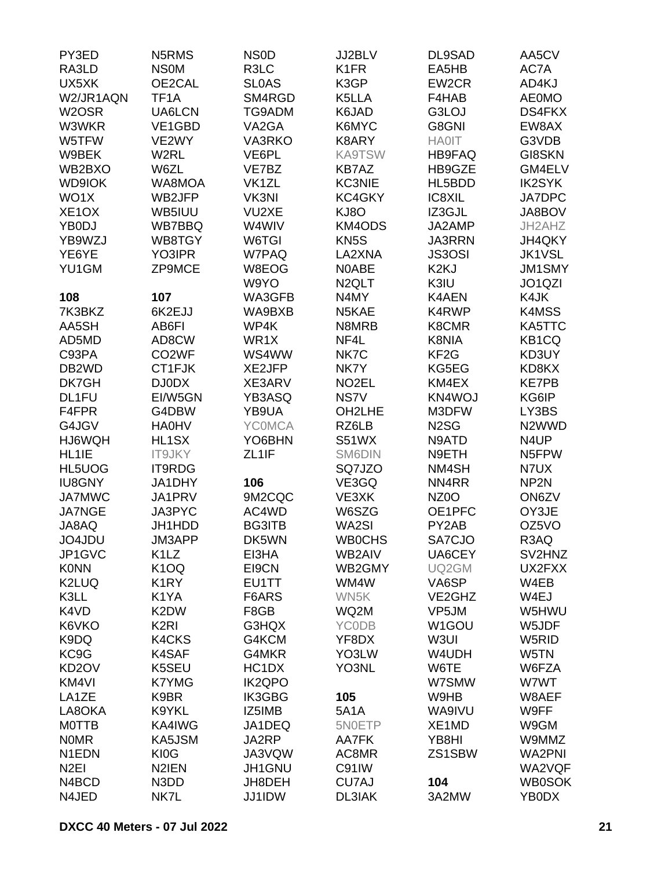| PY3ED              | N5RMS              | NS <sub>0</sub> D  | JJ2BLV             | DL9SAD            | AA5CV              |
|--------------------|--------------------|--------------------|--------------------|-------------------|--------------------|
| RA3LD              | <b>NSOM</b>        | R3LC               | K <sub>1</sub> FR  | EA5HB             | AC7A               |
| UX5XK              | OE2CAL             | <b>SLOAS</b>       | K3GP               | EW2CR             | AD4KJ              |
| W2/JR1AQN          | TF <sub>1</sub> A  | SM4RGD             | K5LLA              | F4HAB             | <b>AE0MO</b>       |
| W <sub>2</sub> OSR | UA6LCN             | TG9ADM             | K6JAD              | G3LOJ             | <b>DS4FKX</b>      |
| W3WKR              | VE1GBD             | VA2GA              | K6MYC              | G8GNI             | EW8AX              |
| W5TFW              | VE2WY              | <b>VA3RKO</b>      | K8ARY              | <b>HA0IT</b>      | G3VDB              |
| W9BEK              | W2RL               | VE6PL              | <b>KA9TSW</b>      | <b>HB9FAQ</b>     | <b>GI8SKN</b>      |
| WB2BXO             | W6ZL               | VE7BZ              | KB7AZ              | HB9GZE            | GM4ELV             |
| <b>WD9IOK</b>      | WA8MOA             | VK1ZL              | <b>KC3NIE</b>      | HL5BDD            | <b>IK2SYK</b>      |
| WO1X               | WB2JFP             | VK3NI              | KC4GKY             | IC8XIL            | JA7DPC             |
| XE <sub>1</sub> OX | WB5IUU             | VU2XE              | KJ8O               | IZ3GJL            | JA8BOV             |
|                    |                    |                    |                    |                   |                    |
| YB0DJ              | WB7BBQ             | W4WIV              | <b>KM4ODS</b>      | JA2AMP            | JH2AHZ             |
| YB9WZJ             | WB8TGY             | W6TGI              | KN <sub>5</sub> S  | <b>JA3RRN</b>     | JH4QKY             |
| YE6YE              | YO3IPR             | W7PAQ              | LA2XNA             | <b>JS3OSI</b>     | <b>JK1VSL</b>      |
| YU1GM              | <b>ZP9MCE</b>      | W8EOG              | N0ABE              | K <sub>2K</sub> J | <b>JM1SMY</b>      |
|                    |                    | W9YO               | N <sub>2</sub> QLT | K3IU              | JO1QZI             |
| 108                | 107                | WA3GFB             | N4MY               | <b>K4AEN</b>      | K4JK               |
| 7K3BKZ             | 6K2EJJ             | WA9BXB             | N5KAE              | K4RWP             | K4MSS              |
| AA5SH              | AB6FI              | WP4K               | N8MRB              | K8CMR             | KA5TTC             |
| AD5MD              | AD8CW              | WR1X               | NF4L               | K8NIA             | KB <sub>1</sub> CQ |
| C93PA              | CO <sub>2</sub> WF | WS4WW              | NK7C               | KF <sub>2</sub> G | KD3UY              |
| DB <sub>2</sub> WD | CT1FJK             | XE2JFP             | NK7Y               | KG5EG             | KD8KX              |
| DK7GH              | DJ0DX              | XE3ARV             | NO <sub>2</sub> EL | KM4EX             | <b>KE7PB</b>       |
| DL1FU              | EI/W5GN            | <b>YB3ASQ</b>      | NS7V               | KN4WOJ            | KG6IP              |
| F4FPR              | G4DBW              | YB9UA              | OH2LHE             | M3DFW             | LY3BS              |
| G4JGV              | <b>HA0HV</b>       | <b>YCOMCA</b>      | RZ6LB              | N <sub>2</sub> SG | N <sub>2</sub> WWD |
| HJ6WQH             | HL1SX              | YO6BHN             | S51WX              | N9ATD             | N4UP               |
| HL1IE              | <b>IT9JKY</b>      | ZL <sub>1</sub> IF | SM6DIN             | N9ETH             | N5FPW              |
| HL5UOG             | IT9RDG             |                    | SQ7JZO             | NM4SH             | N7UX               |
| <b>IU8GNY</b>      | JA1DHY             | 106                | VE3GQ              | NN4RR             | NP <sub>2N</sub>   |
| <b>JA7MWC</b>      | JA1PRV             | 9M2CQC             | VE3XK              | NZ <sub>0</sub> O | ON6ZV              |
| <b>JA7NGE</b>      | JA3PYC             | AC4WD              | W6SZG              | OE1PFC            | OY3JE              |
| JA8AQ              | JH1HDD             | <b>BG3ITB</b>      | WA2SI              | PY2AB             | OZ5VO              |
| JO4JDU             | JM3APP             | DK5WN              | <b>WB0CHS</b>      | SA7CJO            | R3AQ               |
| JP1GVC             | K <sub>1</sub> LZ  | EI3HA              | WB2AIV             | UA6CEY            | SV2HNZ             |
| <b>K0NN</b>        | K <sub>1</sub> OQ  | EI9CN              | WB2GMY             | UQ2GM             | UX2FXX             |
| K2LUQ              | K <sub>1</sub> RY  | EU1TT              | WM4W               | VA6SP             | W4EB               |
| K3LL               | K1YA               | F6ARS              | WN5K               | VE2GHZ            | W4EJ               |
| K4VD               | K2DW               | F8GB               | WQ2M               | VP5JM             | W5HWU              |
| K6VKO              | K <sub>2RI</sub>   | G3HQX              | <b>YCODB</b>       | W1GOU             | W5JDF              |
| K9DQ               | <b>K4CKS</b>       | G4KCM              | YF8DX              | W3UI              | W5RID              |
| KC9G               | K4SAF              | G4MKR              | YO3LW              | W4UDH             | W5TN               |
| KD <sub>2</sub> OV | K5SEU              | HC1DX              | YO3NL              | W6TE              | W6FZA              |
| KM4VI              | K7YMG              | <b>IK2QPO</b>      |                    | W7SMW             | W7WT               |
| LA1ZE              | K9BR               | IK3GBG             | 105                | W9HB              | W8AEF              |
| LA8OKA             | K9YKL              | IZ5IMB             | <b>5A1A</b>        | WA9IVU            | W9FF               |
|                    |                    |                    |                    |                   |                    |
| <b>MOTTB</b>       | KA4IWG             | JA1DEQ             | 5N0ETP             | XE1MD             | W9GM               |
| <b>NOMR</b>        | KA5JSM             | JA2RP              | AA7FK              | YB8HI             | W9MMZ              |
| N1EDN              | KI0G               | JA3VQW             | AC8MR              | ZS1SBW            | <b>WA2PNI</b>      |
| N <sub>2EI</sub>   | N <sub>2</sub> IEN | JH1GNU             | C91IW              |                   | WA2VQF             |
| N4BCD              | N3DD               | JH8DEH             | CU7AJ              | 104               | <b>WB0SOK</b>      |
| N4JED              | NK7L               | <b>JJ1IDW</b>      | DL3IAK             | 3A2MW             | YB0DX              |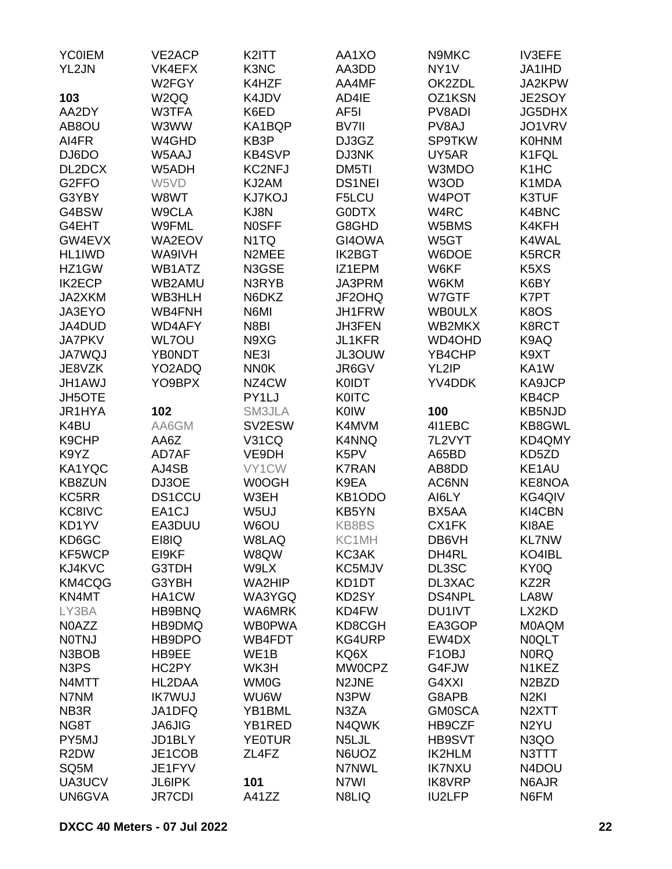| <b>YC0IEM</b>                 | <b>VE2ACP</b>      | K2ITT             | AA1XO              | N9MKC              | <b>IV3EFE</b>                  |
|-------------------------------|--------------------|-------------------|--------------------|--------------------|--------------------------------|
| YL2JN                         | VK4EFX             | K3NC              | AA3DD              | NY <sub>1</sub> V  | JA1IHD                         |
|                               | W2FGY              | K4HZF             | AA4MF              | OK2ZDL             | JA2KPW                         |
| 103                           | W <sub>2</sub> QQ  | K4JDV             | AD4IE              | OZ1KSN             | JE2SOY                         |
| AA2DY                         | W3TFA              | K6ED              | AF <sub>5</sub> I  | PV8ADI             | <b>JG5DHX</b>                  |
| AB8OU                         | W3WW               | KA1BQP            | BV7II              | PV8AJ              | JO1VRV                         |
| AI4FR                         | W4GHD              | KB3P              | DJ3GZ              | <b>SP9TKW</b>      | <b>K0HNM</b>                   |
| DJ6DO                         | W5AAJ              | <b>KB4SVP</b>     | DJ3NK              | UY5AR              | K1FQL                          |
| DL2DCX                        | W5ADH              | <b>KC2NFJ</b>     | DM5TI              | W3MDO              | K <sub>1</sub> H <sub>C</sub>  |
| G <sub>2</sub> FFO            | W5VD               | KJ2AM             | <b>DS1NEI</b>      | W3OD               | K1MDA                          |
| G3YBY                         | W8WT               | <b>KJ7KOJ</b>     | F5LCU              | W4POT              | K3TUF                          |
| G4BSW                         | W9CLA              | KJ8N              | <b>G0DTX</b>       | W4RC               | K4BNC                          |
| G4EHT                         | W9FML              | <b>NOSFF</b>      | G8GHD              | W5BMS              | K4KFH                          |
| GW4EVX                        | WA2EOV             | N <sub>1</sub> TQ | GI4OWA             | W5GT               | K4WAL                          |
| HL1IWD                        | WA9IVH             | N2MEE             | <b>IK2BGT</b>      | W6DOE              | K5RCR                          |
| HZ1GW                         | WB1ATZ             | N3GSE             | IZ1EPM             | W6KF               | K <sub>5</sub> X <sub>S</sub>  |
| <b>IK2ECP</b>                 | WB2AMU             | N3RYB             | JA3PRM             | W6KM               | K6BY                           |
| JA2XKM                        | WB3HLH             | N6DKZ             | JF2OHQ             | W7GTF              | K7PT                           |
| JA3EYO                        |                    | N6MI              | JH1FRW             |                    |                                |
|                               | WB4FNH             |                   |                    | <b>WBOULX</b>      | K8OS                           |
| JA4DUD                        | <b>WD4AFY</b>      | N8BI              | <b>JH3FEN</b>      | WB2MKX             | K8RCT                          |
| <b>JA7PKV</b>                 | <b>WL7OU</b>       | N9XG              | <b>JL1KFR</b>      | WD4OHD             | K9AQ                           |
| <b>JA7WQJ</b>                 | <b>YB0NDT</b>      | NE3I              | JL3OUW             | YB4CHP             | K9XT                           |
| JE8VZK                        | YO2ADQ             | <b>NN0K</b>       | JR6GV              | YL2IP              | KA1W                           |
| <b>JH1AWJ</b>                 | YO9BPX             | NZ4CW             | <b>K0IDT</b>       | YV4DDK             | KA9JCP                         |
| <b>JH5OTE</b>                 |                    | PY1LJ             | <b>KOITC</b>       |                    | KB4CP                          |
| JR1HYA                        | 102                | SM3JLA            | <b>K0IW</b>        | 100                | <b>KB5NJD</b>                  |
| K4BU                          | AA6GM              | SV2ESW            | K4MVM              | 4I1EBC             | KB8GWL                         |
| K9CHP                         | AA6Z               | <b>V31CQ</b>      | <b>K4NNQ</b>       | 7L2VYT             | KD4QMY                         |
| K9YZ                          | AD7AF              | VE9DH             | K5PV               | A65BD              | KD5ZD                          |
| KA1YQC                        | AJ4SB              | VY1CW             | <b>K7RAN</b>       | AB8DD              | KE1AU                          |
| KB8ZUN                        | DJ3OE              | W0OGH             | K9EA               | AC6NN              | KE8NOA                         |
| KC5RR                         | <b>DS1CCU</b>      | W3EH              | KB1ODO             | AI6LY              | KG4QIV                         |
| KC8IVC                        | EA <sub>1</sub> CJ | W <sub>5U</sub>   | KB5YN              | BX5AA              | KI4CBN                         |
| KD1YV                         | EA3DUU             | W6OU              | KB8BS              | CX1FK              | KI8AE                          |
| KD6GC                         | E18IQ              | W8LAQ             | KC1MH              | DB6VH              | <b>KL7NW</b>                   |
| KF5WCP                        | EI9KF              | W8QW              | KC3AK              | DH4RL              | KO4IBL                         |
| KJ4KVC                        | G3TDH              | W9LX              | KC5MJV             | DL3SC              | KY0Q                           |
| KM4CQG                        | G3YBH              | WA2HIP            | KD1DT              | DL3XAC             | KZ2R                           |
| KN4MT                         | HA1CW              | WA3YGQ            | KD2SY              | <b>DS4NPL</b>      | LA8W                           |
| LY3BA                         | HB9BNQ             | WA6MRK            | KD4FW              | DU1IVT             | LX2KD                          |
| N0AZZ                         | HB9DMQ             | <b>WB0PWA</b>     | KD8CGH             | EA3GOP             | <b>MOAQM</b>                   |
| <b>NOTNJ</b>                  | HB9DPO             | WB4FDT            | KG4URP             | EW4DX              | <b>NOQLT</b>                   |
| N3BOB                         | HB9EE              | WE1B              | KQ6X               | F <sub>1</sub> OBJ | <b>NORQ</b>                    |
| N <sub>3</sub> P <sub>S</sub> | HC2PY              | WK3H              | <b>MW0CPZ</b>      | G4FJW              | N1KEZ                          |
| N4MTT                         | HL2DAA             | <b>WM0G</b>       | N <sub>2</sub> JNE | G4XXI              | N <sub>2</sub> B <sub>ZD</sub> |
| N7NM                          | <b>IK7WUJ</b>      | WU6W              | N3PW               | G8APB              | N <sub>2KI</sub>               |
| NB3R                          | JA1DFQ             | YB1BML            | N3ZA               | <b>GM0SCA</b>      | N <sub>2</sub> XTT             |
| NG8T                          | <b>JA6JIG</b>      | YB1RED            | N4QWK              | HB9CZF             | N <sub>2</sub> YU              |
| PY5MJ                         | JD1BLY             | <b>YE0TUR</b>     | N5LJL              | HB9SVT             | N3QO                           |
| R <sub>2</sub> DW             | JE1COB             | ZL4FZ             | N6UOZ              | <b>IK2HLM</b>      | N3TTT                          |
| SQ <sub>5</sub> M             | JE1FYV             |                   | N7NWL              | <b>IK7NXU</b>      | N4DOU                          |
| UA3UCV                        | <b>JL6IPK</b>      | 101               | N7WI               | <b>IK8VRP</b>      | N6AJR                          |
| UN6GVA                        | <b>JR7CDI</b>      | A41ZZ             | N8LIQ              | <b>IU2LFP</b>      | N6FM                           |
|                               |                    |                   |                    |                    |                                |